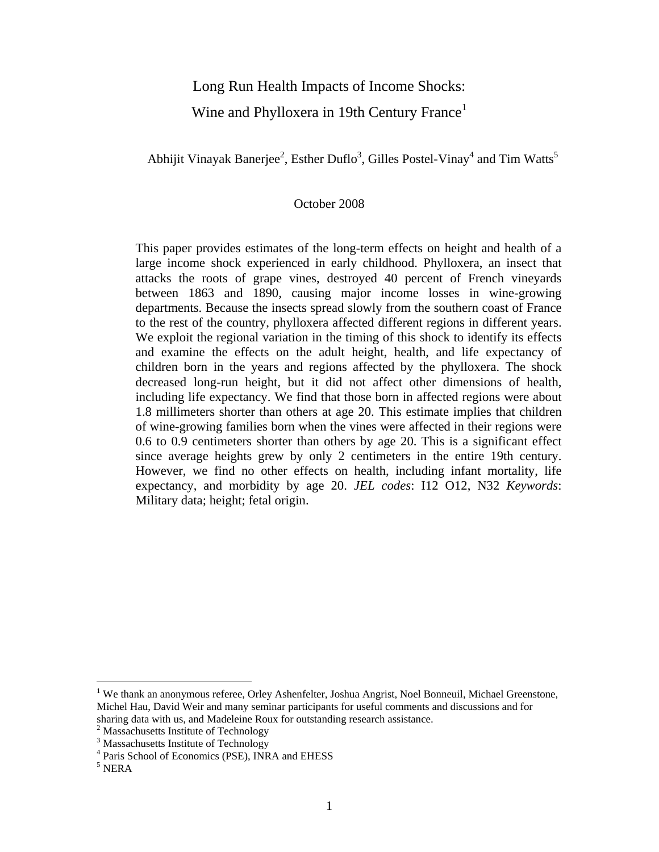# Long Run Health Impacts of Income Shocks: Wine and Phylloxera in 19th Century France<sup>1</sup>

Abhijit Vinayak Banerjee<sup>2</sup>, Esther Duflo<sup>3</sup>, Gilles Postel-Vinay<sup>4</sup> and Tim Watts<sup>5</sup>

## October 2008

This paper provides estimates of the long-term effects on height and health of a large income shock experienced in early childhood. Phylloxera, an insect that attacks the roots of grape vines, destroyed 40 percent of French vineyards between 1863 and 1890, causing major income losses in wine-growing departments. Because the insects spread slowly from the southern coast of France to the rest of the country, phylloxera affected different regions in different years. We exploit the regional variation in the timing of this shock to identify its effects and examine the effects on the adult height, health, and life expectancy of children born in the years and regions affected by the phylloxera. The shock decreased long-run height, but it did not affect other dimensions of health, including life expectancy. We find that those born in affected regions were about 1.8 millimeters shorter than others at age 20. This estimate implies that children of wine-growing families born when the vines were affected in their regions were 0.6 to 0.9 centimeters shorter than others by age 20. This is a significant effect since average heights grew by only 2 centimeters in the entire 19th century. However, we find no other effects on health, including infant mortality, life expectancy, and morbidity by age 20. *JEL codes*: I12 O12, N32 *Keywords*: Military data; height; fetal origin.

 $\overline{a}$ 

<sup>&</sup>lt;sup>1</sup> We thank an anonymous referee, Orley Ashenfelter, Joshua Angrist, Noel Bonneuil, Michael Greenstone, Michel Hau, David Weir and many seminar participants for useful comments and discussions and for sharing data with us, and Madeleine Roux for outstanding research assistance. 2

<sup>&</sup>lt;sup>2</sup> Massachusetts Institute of Technology

<sup>&</sup>lt;sup>3</sup> Massachusetts Institute of Technology

<sup>4</sup> Paris School of Economics (PSE), INRA and EHESS

<sup>5</sup> NERA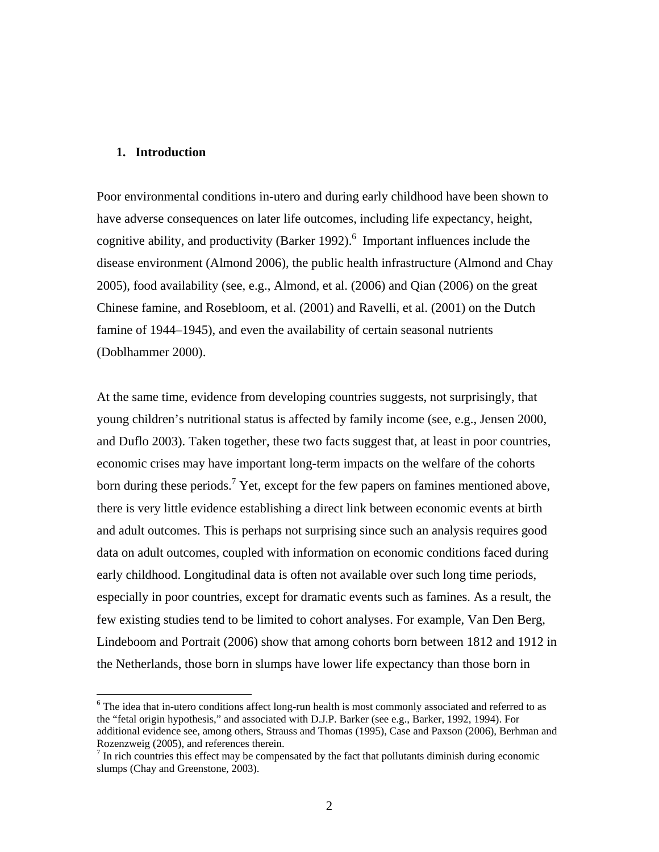#### **1. Introduction**

 $\overline{a}$ 

Poor environmental conditions in-utero and during early childhood have been shown to have adverse consequences on later life outcomes, including life expectancy, height, cognitive ability, and productivity (Barker 1992). $<sup>6</sup>$  Important influences include the</sup> disease environment (Almond 2006), the public health infrastructure (Almond and Chay 2005), food availability (see, e.g., Almond, et al. (2006) and Qian (2006) on the great Chinese famine, and Rosebloom, et al. (2001) and Ravelli, et al. (2001) on the Dutch famine of 1944–1945), and even the availability of certain seasonal nutrients (Doblhammer 2000).

At the same time, evidence from developing countries suggests, not surprisingly, that young children's nutritional status is affected by family income (see, e.g., Jensen 2000, and Duflo 2003). Taken together, these two facts suggest that, at least in poor countries, economic crises may have important long-term impacts on the welfare of the cohorts born during these periods.<sup>7</sup> Yet, except for the few papers on famines mentioned above, there is very little evidence establishing a direct link between economic events at birth and adult outcomes. This is perhaps not surprising since such an analysis requires good data on adult outcomes, coupled with information on economic conditions faced during early childhood. Longitudinal data is often not available over such long time periods, especially in poor countries, except for dramatic events such as famines. As a result, the few existing studies tend to be limited to cohort analyses. For example, Van Den Berg, Lindeboom and Portrait (2006) show that among cohorts born between 1812 and 1912 in the Netherlands, those born in slumps have lower life expectancy than those born in

<sup>&</sup>lt;sup>6</sup> The idea that in-utero conditions affect long-run health is most commonly associated and referred to as the "fetal origin hypothesis," and associated with D.J.P. Barker (see e.g., Barker, 1992, 1994). For additional evidence see, among others, Strauss and Thomas (1995), Case and Paxson (2006), Berhman and Rozenzweig (2005), and references therein.

 $<sup>7</sup>$  In rich countries this effect may be compensated by the fact that pollutants diminish during economic</sup> slumps (Chay and Greenstone, 2003).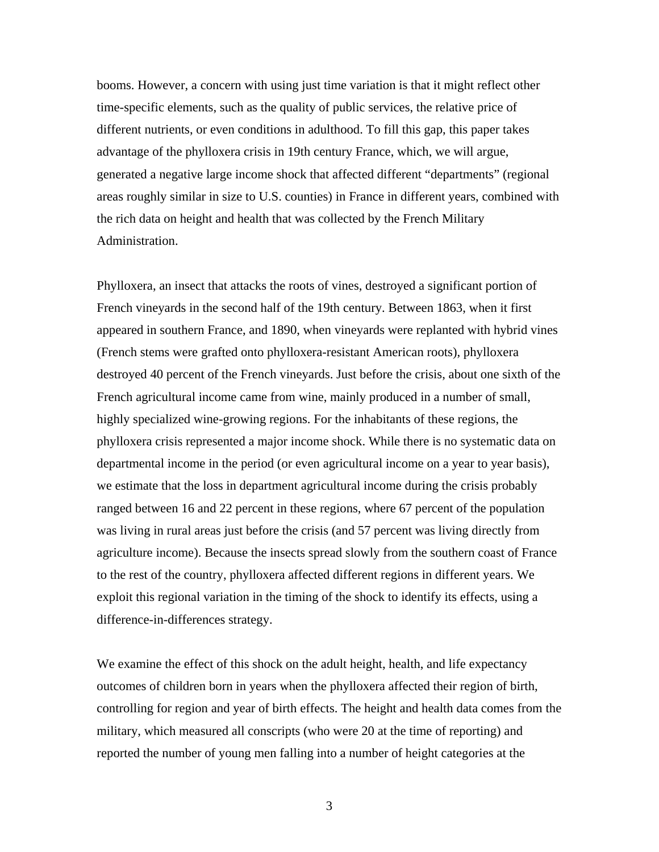booms. However, a concern with using just time variation is that it might reflect other time-specific elements, such as the quality of public services, the relative price of different nutrients, or even conditions in adulthood. To fill this gap, this paper takes advantage of the phylloxera crisis in 19th century France, which, we will argue, generated a negative large income shock that affected different "departments" (regional areas roughly similar in size to U.S. counties) in France in different years, combined with the rich data on height and health that was collected by the French Military Administration.

Phylloxera, an insect that attacks the roots of vines, destroyed a significant portion of French vineyards in the second half of the 19th century. Between 1863, when it first appeared in southern France, and 1890, when vineyards were replanted with hybrid vines (French stems were grafted onto phylloxera-resistant American roots), phylloxera destroyed 40 percent of the French vineyards. Just before the crisis, about one sixth of the French agricultural income came from wine, mainly produced in a number of small, highly specialized wine-growing regions. For the inhabitants of these regions, the phylloxera crisis represented a major income shock. While there is no systematic data on departmental income in the period (or even agricultural income on a year to year basis), we estimate that the loss in department agricultural income during the crisis probably ranged between 16 and 22 percent in these regions, where 67 percent of the population was living in rural areas just before the crisis (and 57 percent was living directly from agriculture income). Because the insects spread slowly from the southern coast of France to the rest of the country, phylloxera affected different regions in different years. We exploit this regional variation in the timing of the shock to identify its effects, using a difference-in-differences strategy.

We examine the effect of this shock on the adult height, health, and life expectancy outcomes of children born in years when the phylloxera affected their region of birth, controlling for region and year of birth effects. The height and health data comes from the military, which measured all conscripts (who were 20 at the time of reporting) and reported the number of young men falling into a number of height categories at the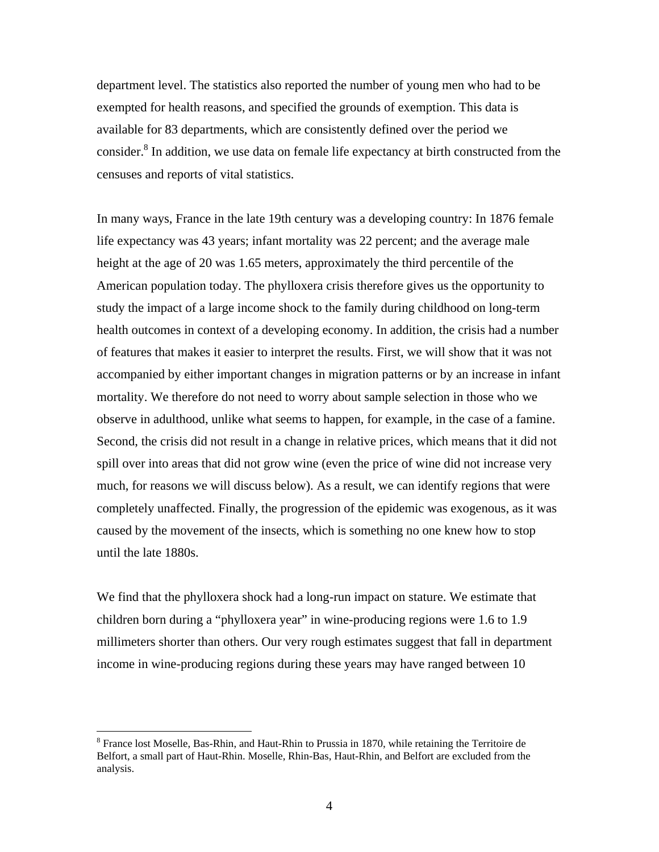department level. The statistics also reported the number of young men who had to be exempted for health reasons, and specified the grounds of exemption. This data is available for 83 departments, which are consistently defined over the period we consider.<sup>8</sup> In addition, we use data on female life expectancy at birth constructed from the censuses and reports of vital statistics.

In many ways, France in the late 19th century was a developing country: In 1876 female life expectancy was 43 years; infant mortality was 22 percent; and the average male height at the age of 20 was 1.65 meters, approximately the third percentile of the American population today. The phylloxera crisis therefore gives us the opportunity to study the impact of a large income shock to the family during childhood on long-term health outcomes in context of a developing economy. In addition, the crisis had a number of features that makes it easier to interpret the results. First, we will show that it was not accompanied by either important changes in migration patterns or by an increase in infant mortality. We therefore do not need to worry about sample selection in those who we observe in adulthood, unlike what seems to happen, for example, in the case of a famine. Second, the crisis did not result in a change in relative prices, which means that it did not spill over into areas that did not grow wine (even the price of wine did not increase very much, for reasons we will discuss below). As a result, we can identify regions that were completely unaffected. Finally, the progression of the epidemic was exogenous, as it was caused by the movement of the insects, which is something no one knew how to stop until the late 1880s.

We find that the phylloxera shock had a long-run impact on stature. We estimate that children born during a "phylloxera year" in wine-producing regions were 1.6 to 1.9 millimeters shorter than others. Our very rough estimates suggest that fall in department income in wine-producing regions during these years may have ranged between 10

<sup>&</sup>lt;sup>8</sup> France lost Moselle, Bas-Rhin, and Haut-Rhin to Prussia in 1870, while retaining the Territoire de Belfort, a small part of Haut-Rhin. Moselle, Rhin-Bas, Haut-Rhin, and Belfort are excluded from the analysis.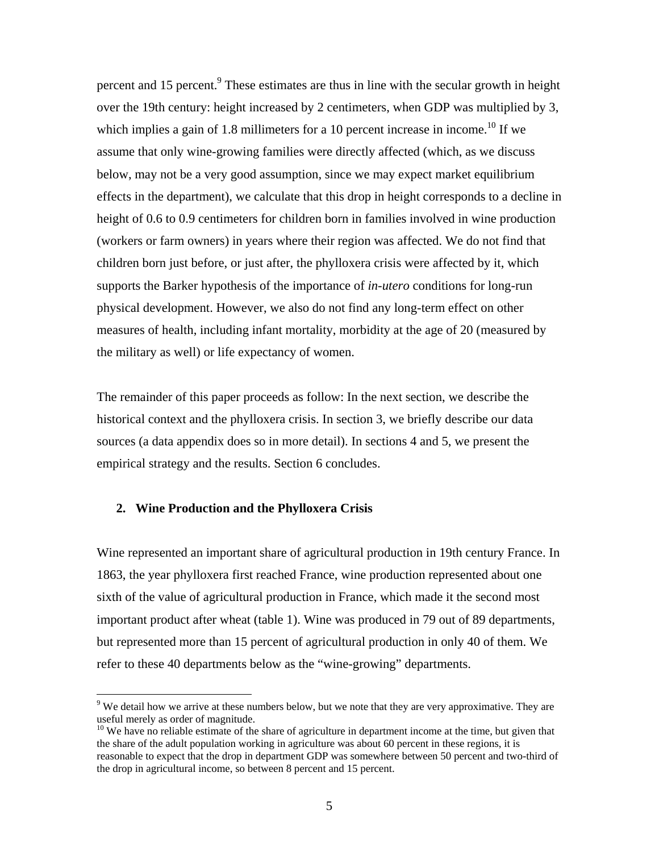percent and 15 percent.<sup>9</sup> These estimates are thus in line with the secular growth in height over the 19th century: height increased by 2 centimeters, when GDP was multiplied by 3, which implies a gain of 1.8 millimeters for a 10 percent increase in income.<sup>10</sup> If we assume that only wine-growing families were directly affected (which, as we discuss below, may not be a very good assumption, since we may expect market equilibrium effects in the department), we calculate that this drop in height corresponds to a decline in height of 0.6 to 0.9 centimeters for children born in families involved in wine production (workers or farm owners) in years where their region was affected. We do not find that children born just before, or just after, the phylloxera crisis were affected by it, which supports the Barker hypothesis of the importance of *in-utero* conditions for long-run physical development. However, we also do not find any long-term effect on other measures of health, including infant mortality, morbidity at the age of 20 (measured by the military as well) or life expectancy of women.

The remainder of this paper proceeds as follow: In the next section, we describe the historical context and the phylloxera crisis. In section 3, we briefly describe our data sources (a data appendix does so in more detail). In sections 4 and 5, we present the empirical strategy and the results. Section 6 concludes.

## **2. Wine Production and the Phylloxera Crisis**

 $\overline{a}$ 

Wine represented an important share of agricultural production in 19th century France. In 1863, the year phylloxera first reached France, wine production represented about one sixth of the value of agricultural production in France, which made it the second most important product after wheat (table 1). Wine was produced in 79 out of 89 departments, but represented more than 15 percent of agricultural production in only 40 of them. We refer to these 40 departments below as the "wine-growing" departments.

 $9$  We detail how we arrive at these numbers below, but we note that they are very approximative. They are useful merely as order of magnitude.

 $10$  We have no reliable estimate of the share of agriculture in department income at the time, but given that the share of the adult population working in agriculture was about 60 percent in these regions, it is reasonable to expect that the drop in department GDP was somewhere between 50 percent and two-third of the drop in agricultural income, so between 8 percent and 15 percent.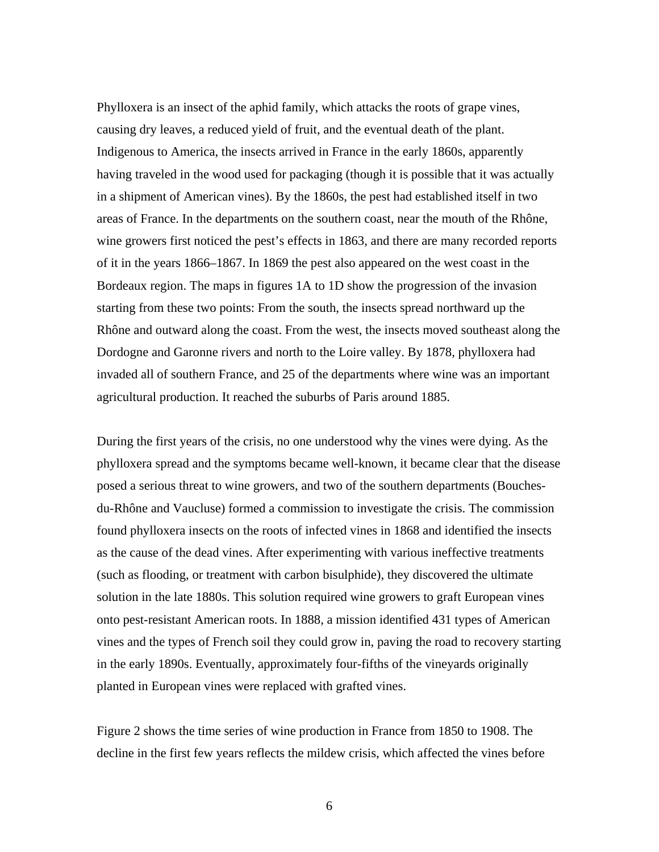Phylloxera is an insect of the aphid family, which attacks the roots of grape vines, causing dry leaves, a reduced yield of fruit, and the eventual death of the plant. Indigenous to America, the insects arrived in France in the early 1860s, apparently having traveled in the wood used for packaging (though it is possible that it was actually in a shipment of American vines). By the 1860s, the pest had established itself in two areas of France. In the departments on the southern coast, near the mouth of the Rhône, wine growers first noticed the pest's effects in 1863, and there are many recorded reports of it in the years 1866–1867. In 1869 the pest also appeared on the west coast in the Bordeaux region. The maps in figures 1A to 1D show the progression of the invasion starting from these two points: From the south, the insects spread northward up the Rhône and outward along the coast. From the west, the insects moved southeast along the Dordogne and Garonne rivers and north to the Loire valley. By 1878, phylloxera had invaded all of southern France, and 25 of the departments where wine was an important agricultural production. It reached the suburbs of Paris around 1885.

During the first years of the crisis, no one understood why the vines were dying. As the phylloxera spread and the symptoms became well-known, it became clear that the disease posed a serious threat to wine growers, and two of the southern departments (Bouchesdu-Rhône and Vaucluse) formed a commission to investigate the crisis. The commission found phylloxera insects on the roots of infected vines in 1868 and identified the insects as the cause of the dead vines. After experimenting with various ineffective treatments (such as flooding, or treatment with carbon bisulphide), they discovered the ultimate solution in the late 1880s. This solution required wine growers to graft European vines onto pest-resistant American roots. In 1888, a mission identified 431 types of American vines and the types of French soil they could grow in, paving the road to recovery starting in the early 1890s. Eventually, approximately four-fifths of the vineyards originally planted in European vines were replaced with grafted vines.

Figure 2 shows the time series of wine production in France from 1850 to 1908. The decline in the first few years reflects the mildew crisis, which affected the vines before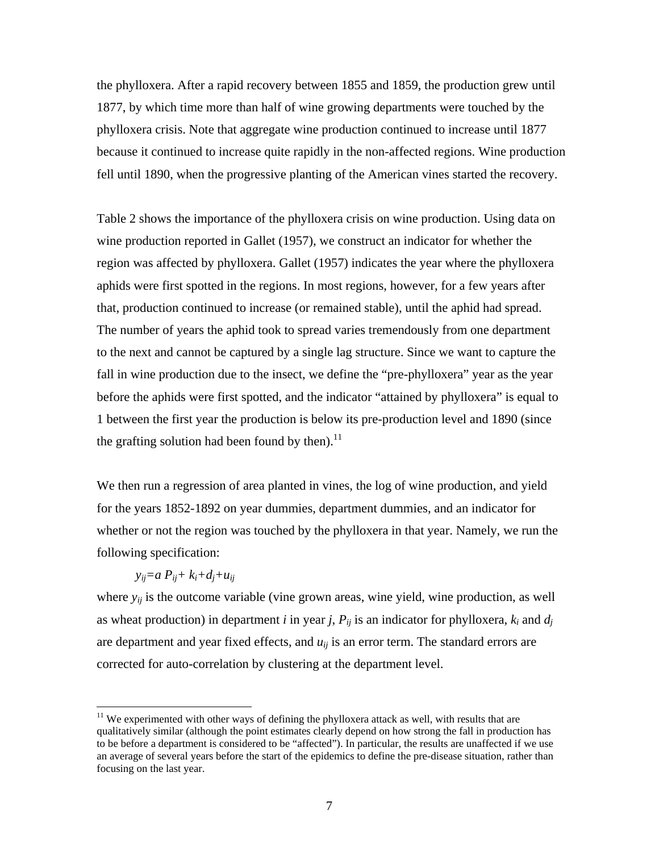the phylloxera. After a rapid recovery between 1855 and 1859, the production grew until 1877, by which time more than half of wine growing departments were touched by the phylloxera crisis. Note that aggregate wine production continued to increase until 1877 because it continued to increase quite rapidly in the non-affected regions. Wine production fell until 1890, when the progressive planting of the American vines started the recovery.

Table 2 shows the importance of the phylloxera crisis on wine production. Using data on wine production reported in Gallet (1957), we construct an indicator for whether the region was affected by phylloxera. Gallet (1957) indicates the year where the phylloxera aphids were first spotted in the regions. In most regions, however, for a few years after that, production continued to increase (or remained stable), until the aphid had spread. The number of years the aphid took to spread varies tremendously from one department to the next and cannot be captured by a single lag structure. Since we want to capture the fall in wine production due to the insect, we define the "pre-phylloxera" year as the year before the aphids were first spotted, and the indicator "attained by phylloxera" is equal to 1 between the first year the production is below its pre-production level and 1890 (since the grafting solution had been found by then).<sup>11</sup>

We then run a regression of area planted in vines, the log of wine production, and yield for the years 1852-1892 on year dummies, department dummies, and an indicator for whether or not the region was touched by the phylloxera in that year. Namely, we run the following specification:

# $y_{ii} = a P_{ii} + k_i + d_i + u_{ii}$

 $\overline{a}$ 

where  $y_{ij}$  is the outcome variable (vine grown areas, wine yield, wine production, as well as wheat production) in department *i* in year *j*,  $P_{ij}$  is an indicator for phylloxera,  $k_i$  and  $d_j$ are department and year fixed effects, and  $u_{ij}$  is an error term. The standard errors are corrected for auto-correlation by clustering at the department level.

<sup>&</sup>lt;sup>11</sup> We experimented with other ways of defining the phylloxera attack as well, with results that are qualitatively similar (although the point estimates clearly depend on how strong the fall in production has to be before a department is considered to be "affected"). In particular, the results are unaffected if we use an average of several years before the start of the epidemics to define the pre-disease situation, rather than focusing on the last year.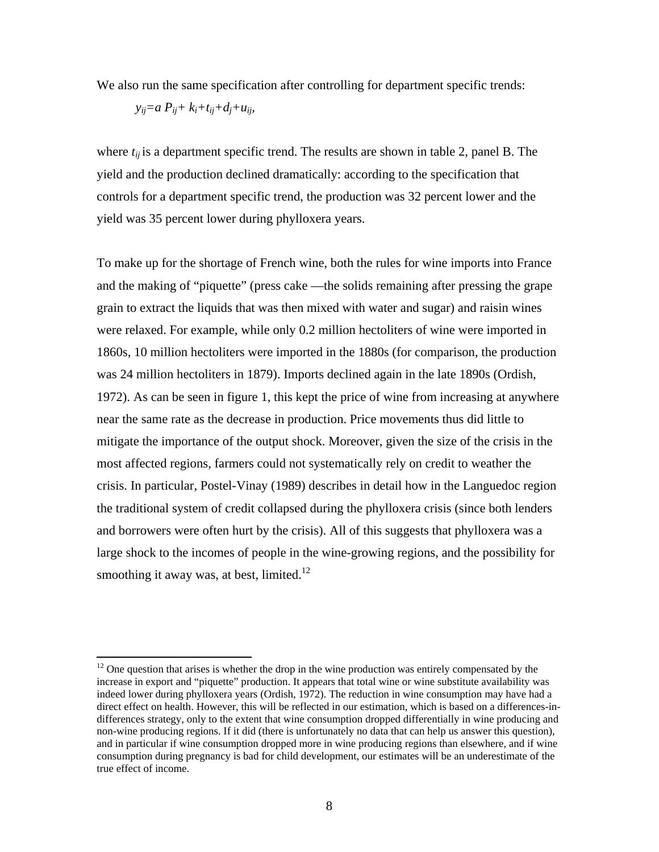We also run the same specification after controlling for department specific trends:

 $y_{ii}=a P_{ii}+k_i+t_{ii}+d_i+t_{ii}$ 

1

where  $t_{ij}$  is a department specific trend. The results are shown in table 2, panel B. The yield and the production declined dramatically: according to the specification that controls for a department specific trend, the production was 32 percent lower and the yield was 35 percent lower during phylloxera years.

To make up for the shortage of French wine, both the rules for wine imports into France and the making of "piquette" (press cake —the solids remaining after pressing the grape grain to extract the liquids that was then mixed with water and sugar) and raisin wines were relaxed. For example, while only 0.2 million hectoliters of wine were imported in 1860s, 10 million hectoliters were imported in the 1880s (for comparison, the production was 24 million hectoliters in 1879). Imports declined again in the late 1890s (Ordish, 1972). As can be seen in figure 1, this kept the price of wine from increasing at anywhere near the same rate as the decrease in production. Price movements thus did little to mitigate the importance of the output shock. Moreover, given the size of the crisis in the most affected regions, farmers could not systematically rely on credit to weather the crisis. In particular, Postel-Vinay (1989) describes in detail how in the Languedoc region the traditional system of credit collapsed during the phylloxera crisis (since both lenders and borrowers were often hurt by the crisis). All of this suggests that phylloxera was a large shock to the incomes of people in the wine-growing regions, and the possibility for smoothing it away was, at best, limited.<sup>12</sup>

 $12$  One question that arises is whether the drop in the wine production was entirely compensated by the increase in export and "piquette" production. It appears that total wine or wine substitute availability was indeed lower during phylloxera years (Ordish, 1972). The reduction in wine consumption may have had a direct effect on health. However, this will be reflected in our estimation, which is based on a differences-indifferences strategy, only to the extent that wine consumption dropped differentially in wine producing and non-wine producing regions. If it did (there is unfortunately no data that can help us answer this question), and in particular if wine consumption dropped more in wine producing regions than elsewhere, and if wine consumption during pregnancy is bad for child development, our estimates will be an underestimate of the true effect of income.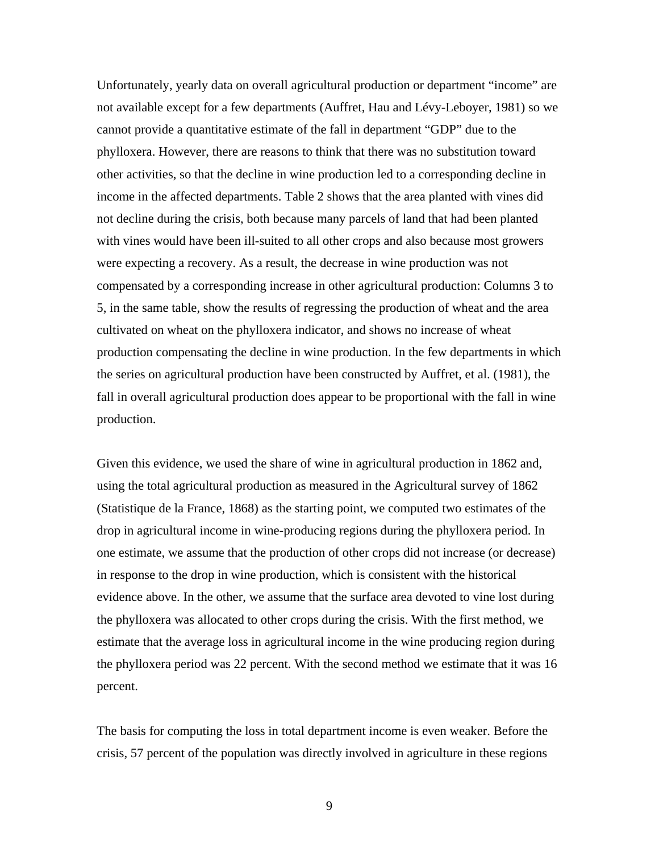Unfortunately, yearly data on overall agricultural production or department "income" are not available except for a few departments (Auffret, Hau and Lévy-Leboyer, 1981) so we cannot provide a quantitative estimate of the fall in department "GDP" due to the phylloxera. However, there are reasons to think that there was no substitution toward other activities, so that the decline in wine production led to a corresponding decline in income in the affected departments. Table 2 shows that the area planted with vines did not decline during the crisis, both because many parcels of land that had been planted with vines would have been ill-suited to all other crops and also because most growers were expecting a recovery. As a result, the decrease in wine production was not compensated by a corresponding increase in other agricultural production: Columns 3 to 5, in the same table, show the results of regressing the production of wheat and the area cultivated on wheat on the phylloxera indicator, and shows no increase of wheat production compensating the decline in wine production. In the few departments in which the series on agricultural production have been constructed by Auffret, et al. (1981), the fall in overall agricultural production does appear to be proportional with the fall in wine production.

Given this evidence, we used the share of wine in agricultural production in 1862 and, using the total agricultural production as measured in the Agricultural survey of 1862 (Statistique de la France, 1868) as the starting point, we computed two estimates of the drop in agricultural income in wine-producing regions during the phylloxera period. In one estimate, we assume that the production of other crops did not increase (or decrease) in response to the drop in wine production, which is consistent with the historical evidence above. In the other, we assume that the surface area devoted to vine lost during the phylloxera was allocated to other crops during the crisis. With the first method, we estimate that the average loss in agricultural income in the wine producing region during the phylloxera period was 22 percent. With the second method we estimate that it was 16 percent.

The basis for computing the loss in total department income is even weaker. Before the crisis, 57 percent of the population was directly involved in agriculture in these regions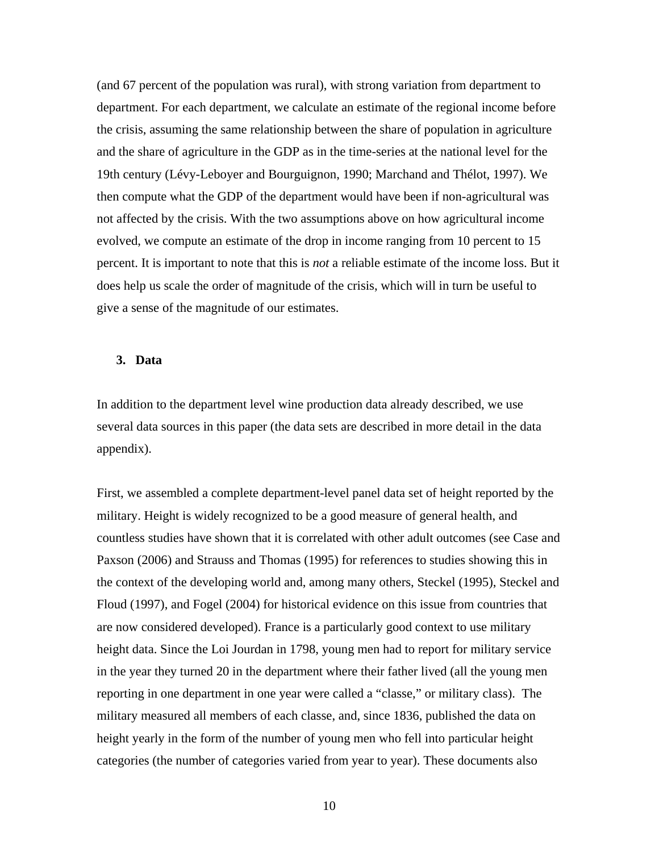(and 67 percent of the population was rural), with strong variation from department to department. For each department, we calculate an estimate of the regional income before the crisis, assuming the same relationship between the share of population in agriculture and the share of agriculture in the GDP as in the time-series at the national level for the 19th century (Lévy-Leboyer and Bourguignon, 1990; Marchand and Thélot, 1997). We then compute what the GDP of the department would have been if non-agricultural was not affected by the crisis. With the two assumptions above on how agricultural income evolved, we compute an estimate of the drop in income ranging from 10 percent to 15 percent. It is important to note that this is *not* a reliable estimate of the income loss. But it does help us scale the order of magnitude of the crisis, which will in turn be useful to give a sense of the magnitude of our estimates.

#### **3. Data**

In addition to the department level wine production data already described, we use several data sources in this paper (the data sets are described in more detail in the data appendix).

First, we assembled a complete department-level panel data set of height reported by the military. Height is widely recognized to be a good measure of general health, and countless studies have shown that it is correlated with other adult outcomes (see Case and Paxson (2006) and Strauss and Thomas (1995) for references to studies showing this in the context of the developing world and, among many others, Steckel (1995), Steckel and Floud (1997), and Fogel (2004) for historical evidence on this issue from countries that are now considered developed). France is a particularly good context to use military height data. Since the Loi Jourdan in 1798, young men had to report for military service in the year they turned 20 in the department where their father lived (all the young men reporting in one department in one year were called a "classe," or military class). The military measured all members of each classe, and, since 1836, published the data on height yearly in the form of the number of young men who fell into particular height categories (the number of categories varied from year to year). These documents also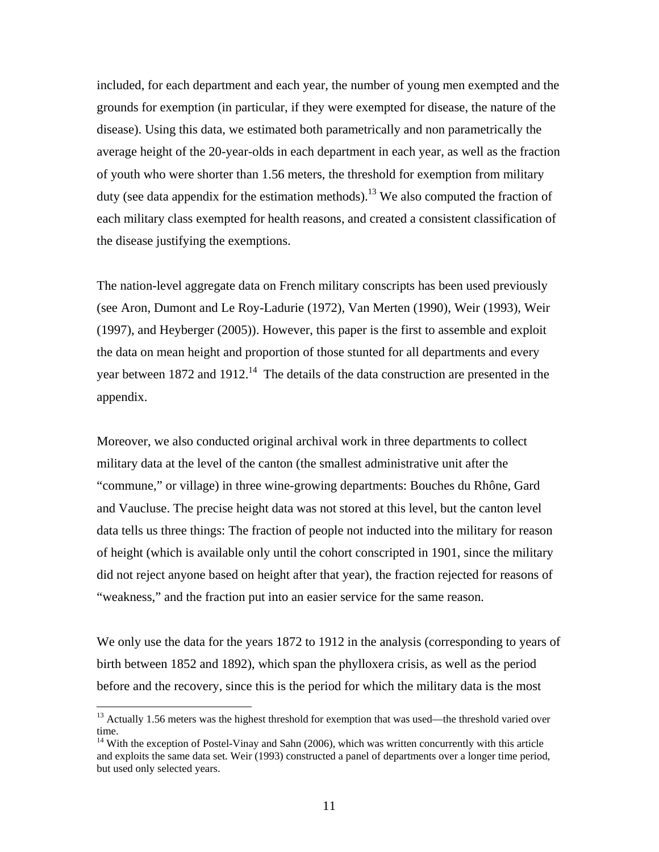included, for each department and each year, the number of young men exempted and the grounds for exemption (in particular, if they were exempted for disease, the nature of the disease). Using this data, we estimated both parametrically and non parametrically the average height of the 20-year-olds in each department in each year, as well as the fraction of youth who were shorter than 1.56 meters, the threshold for exemption from military duty (see data appendix for the estimation methods).<sup>13</sup> We also computed the fraction of each military class exempted for health reasons, and created a consistent classification of the disease justifying the exemptions.

The nation-level aggregate data on French military conscripts has been used previously (see Aron, Dumont and Le Roy-Ladurie (1972), Van Merten (1990), Weir (1993), Weir (1997), and Heyberger (2005)). However, this paper is the first to assemble and exploit the data on mean height and proportion of those stunted for all departments and every year between 1872 and 1912.<sup>14</sup> The details of the data construction are presented in the appendix.

Moreover, we also conducted original archival work in three departments to collect military data at the level of the canton (the smallest administrative unit after the "commune," or village) in three wine-growing departments: Bouches du Rhône, Gard and Vaucluse. The precise height data was not stored at this level, but the canton level data tells us three things: The fraction of people not inducted into the military for reason of height (which is available only until the cohort conscripted in 1901, since the military did not reject anyone based on height after that year), the fraction rejected for reasons of "weakness," and the fraction put into an easier service for the same reason.

We only use the data for the years 1872 to 1912 in the analysis (corresponding to years of birth between 1852 and 1892), which span the phylloxera crisis, as well as the period before and the recovery, since this is the period for which the military data is the most

 $\overline{a}$ 

<sup>&</sup>lt;sup>13</sup> Actually 1.56 meters was the highest threshold for exemption that was used—the threshold varied over time.

 $14$  With the exception of Postel-Vinay and Sahn (2006), which was written concurrently with this article and exploits the same data set. Weir (1993) constructed a panel of departments over a longer time period, but used only selected years.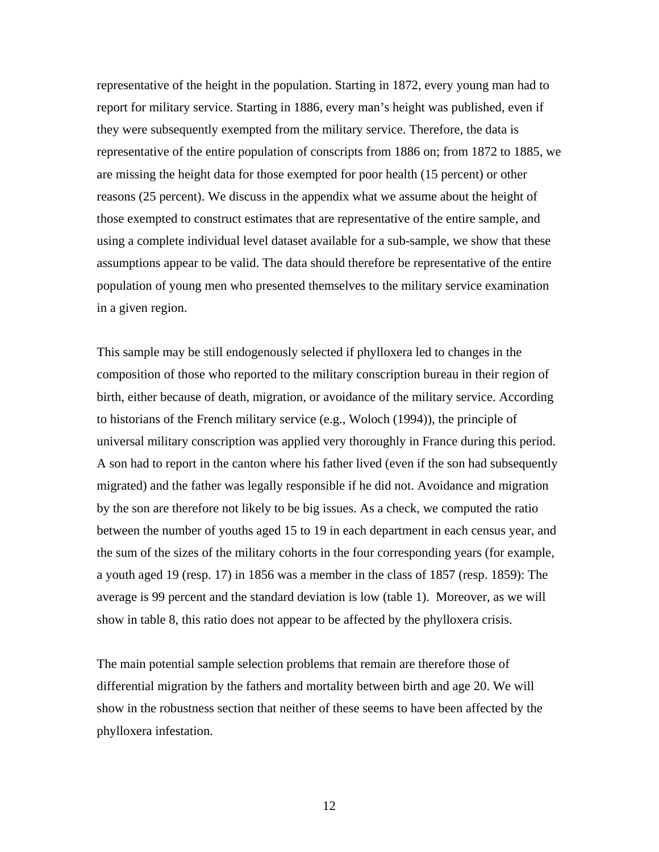representative of the height in the population. Starting in 1872, every young man had to report for military service. Starting in 1886, every man's height was published, even if they were subsequently exempted from the military service. Therefore, the data is representative of the entire population of conscripts from 1886 on; from 1872 to 1885, we are missing the height data for those exempted for poor health (15 percent) or other reasons (25 percent). We discuss in the appendix what we assume about the height of those exempted to construct estimates that are representative of the entire sample, and using a complete individual level dataset available for a sub-sample, we show that these assumptions appear to be valid. The data should therefore be representative of the entire population of young men who presented themselves to the military service examination in a given region.

This sample may be still endogenously selected if phylloxera led to changes in the composition of those who reported to the military conscription bureau in their region of birth, either because of death, migration, or avoidance of the military service. According to historians of the French military service (e.g., Woloch (1994)), the principle of universal military conscription was applied very thoroughly in France during this period. A son had to report in the canton where his father lived (even if the son had subsequently migrated) and the father was legally responsible if he did not. Avoidance and migration by the son are therefore not likely to be big issues. As a check, we computed the ratio between the number of youths aged 15 to 19 in each department in each census year, and the sum of the sizes of the military cohorts in the four corresponding years (for example, a youth aged 19 (resp. 17) in 1856 was a member in the class of 1857 (resp. 1859): The average is 99 percent and the standard deviation is low (table 1). Moreover, as we will show in table 8, this ratio does not appear to be affected by the phylloxera crisis.

The main potential sample selection problems that remain are therefore those of differential migration by the fathers and mortality between birth and age 20. We will show in the robustness section that neither of these seems to have been affected by the phylloxera infestation.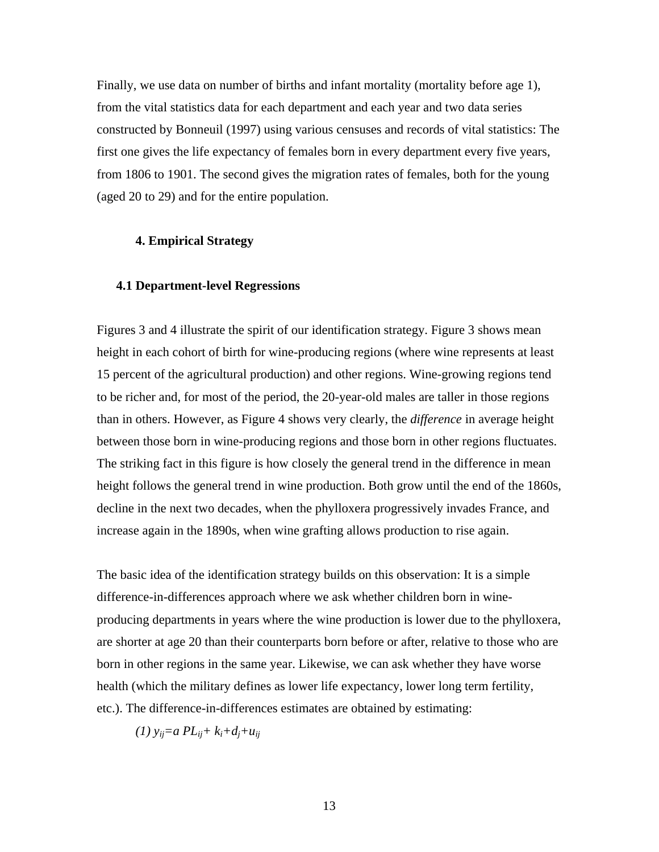Finally, we use data on number of births and infant mortality (mortality before age 1), from the vital statistics data for each department and each year and two data series constructed by Bonneuil (1997) using various censuses and records of vital statistics: The first one gives the life expectancy of females born in every department every five years, from 1806 to 1901. The second gives the migration rates of females, both for the young (aged 20 to 29) and for the entire population.

## **4. Empirical Strategy**

#### **4.1 Department-level Regressions**

Figures 3 and 4 illustrate the spirit of our identification strategy. Figure 3 shows mean height in each cohort of birth for wine-producing regions (where wine represents at least 15 percent of the agricultural production) and other regions. Wine-growing regions tend to be richer and, for most of the period, the 20-year-old males are taller in those regions than in others. However, as Figure 4 shows very clearly, the *difference* in average height between those born in wine-producing regions and those born in other regions fluctuates. The striking fact in this figure is how closely the general trend in the difference in mean height follows the general trend in wine production. Both grow until the end of the 1860s, decline in the next two decades, when the phylloxera progressively invades France, and increase again in the 1890s, when wine grafting allows production to rise again.

The basic idea of the identification strategy builds on this observation: It is a simple difference-in-differences approach where we ask whether children born in wineproducing departments in years where the wine production is lower due to the phylloxera, are shorter at age 20 than their counterparts born before or after, relative to those who are born in other regions in the same year. Likewise, we can ask whether they have worse health (which the military defines as lower life expectancy, lower long term fertility, etc.). The difference-in-differences estimates are obtained by estimating:

*(1) yij=a PLij+ ki+dj+uij*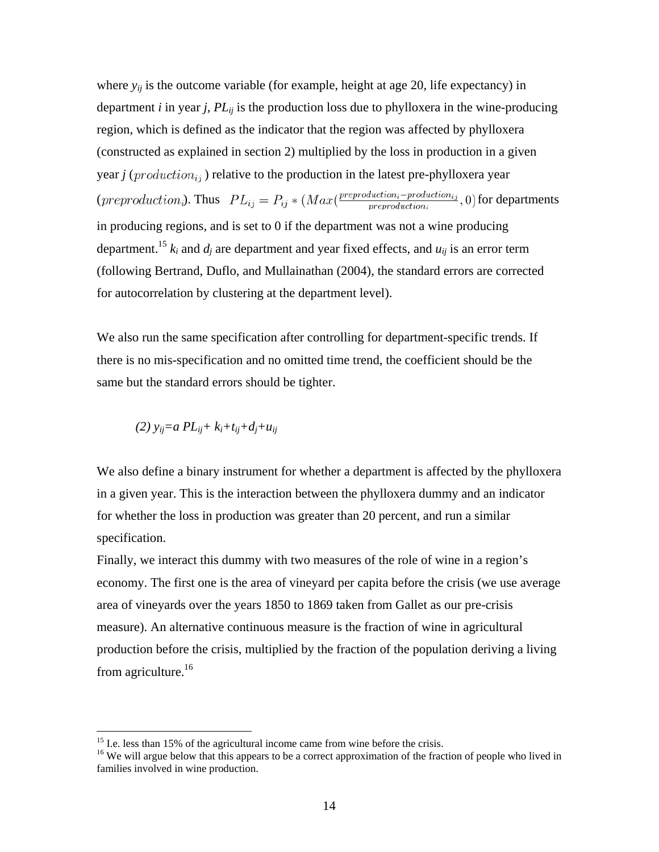where  $y_{ij}$  is the outcome variable (for example, height at age 20, life expectancy) in department *i* in year *j*,  $PL_{ii}$  is the production loss due to phylloxera in the wine-producing region, which is defined as the indicator that the region was affected by phylloxera (constructed as explained in section 2) multiplied by the loss in production in a given year *j* ( $production_{ij}$ ) relative to the production in the latest pre-phylloxera year (*preproduction*<sub>*i*</sub>). Thus  $PL_{ij} = P_{ij} * (Max(\frac{preproduction_i - production_{ij}}{preproduction_i}, 0)$  for departments in producing regions, and is set to 0 if the department was not a wine producing department.<sup>15</sup>  $k_i$  and  $d_i$  are department and year fixed effects, and  $u_{ij}$  is an error term (following Bertrand, Duflo, and Mullainathan (2004), the standard errors are corrected for autocorrelation by clustering at the department level).

We also run the same specification after controlling for department-specific trends. If there is no mis-specification and no omitted time trend, the coefficient should be the same but the standard errors should be tighter.

*(2) yij=a PLij+ ki+tij+dj+uij* 

1

We also define a binary instrument for whether a department is affected by the phylloxera in a given year. This is the interaction between the phylloxera dummy and an indicator for whether the loss in production was greater than 20 percent, and run a similar specification.

Finally, we interact this dummy with two measures of the role of wine in a region's economy. The first one is the area of vineyard per capita before the crisis (we use average area of vineyards over the years 1850 to 1869 taken from Gallet as our pre-crisis measure). An alternative continuous measure is the fraction of wine in agricultural production before the crisis, multiplied by the fraction of the population deriving a living from agriculture.<sup>16</sup>

<sup>&</sup>lt;sup>15</sup> I.e. less than 15% of the agricultural income came from wine before the crisis.  $16$  We will argue below that this appears to be a correct approximation of the fraction of people who lived in families involved in wine production.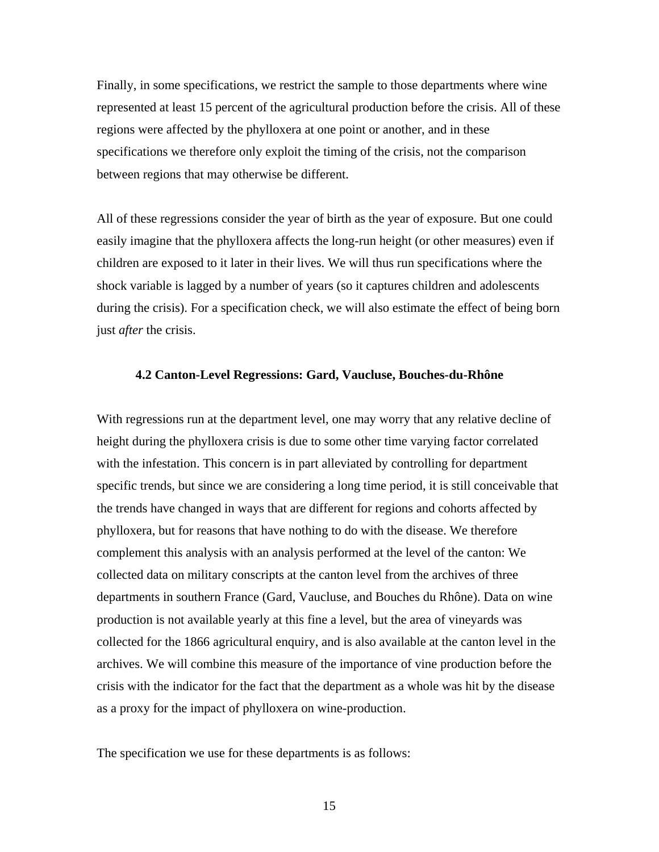Finally, in some specifications, we restrict the sample to those departments where wine represented at least 15 percent of the agricultural production before the crisis. All of these regions were affected by the phylloxera at one point or another, and in these specifications we therefore only exploit the timing of the crisis, not the comparison between regions that may otherwise be different.

All of these regressions consider the year of birth as the year of exposure. But one could easily imagine that the phylloxera affects the long-run height (or other measures) even if children are exposed to it later in their lives. We will thus run specifications where the shock variable is lagged by a number of years (so it captures children and adolescents during the crisis). For a specification check, we will also estimate the effect of being born just *after* the crisis.

### **4.2 Canton-Level Regressions: Gard, Vaucluse, Bouches-du-Rhône**

With regressions run at the department level, one may worry that any relative decline of height during the phylloxera crisis is due to some other time varying factor correlated with the infestation. This concern is in part alleviated by controlling for department specific trends, but since we are considering a long time period, it is still conceivable that the trends have changed in ways that are different for regions and cohorts affected by phylloxera, but for reasons that have nothing to do with the disease. We therefore complement this analysis with an analysis performed at the level of the canton: We collected data on military conscripts at the canton level from the archives of three departments in southern France (Gard, Vaucluse, and Bouches du Rhône). Data on wine production is not available yearly at this fine a level, but the area of vineyards was collected for the 1866 agricultural enquiry, and is also available at the canton level in the archives. We will combine this measure of the importance of vine production before the crisis with the indicator for the fact that the department as a whole was hit by the disease as a proxy for the impact of phylloxera on wine-production.

The specification we use for these departments is as follows: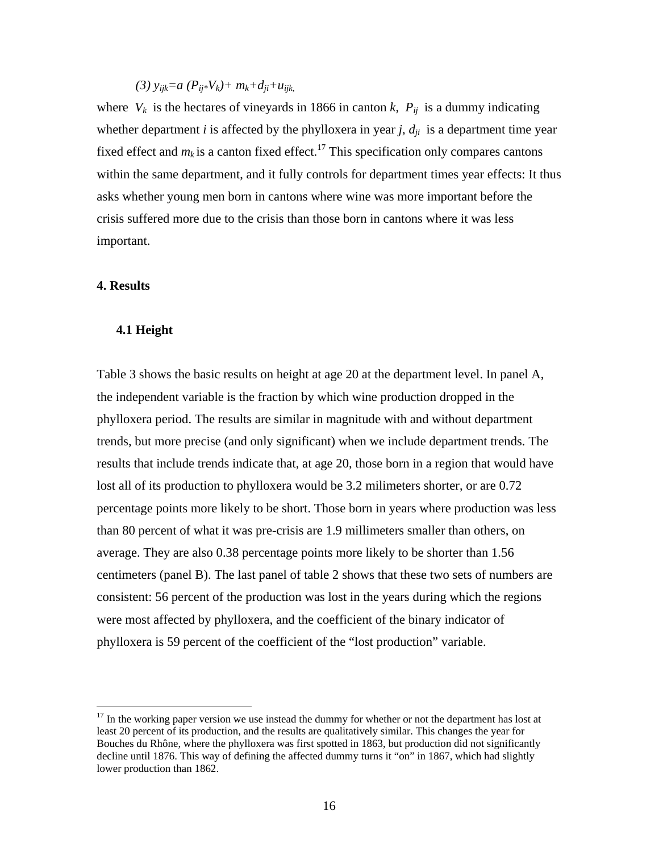*(3) yijk=a (Pij\*Vk)+ mk+dji+uijk,* 

where  $V_k$  is the hectares of vineyards in 1866 in canton *k*,  $P_{ij}$  is a dummy indicating whether department *i* is affected by the phylloxera in year *j*,  $d_{ii}$  is a department time year fixed effect and  $m_k$  is a canton fixed effect.<sup>17</sup> This specification only compares cantons within the same department, and it fully controls for department times year effects: It thus asks whether young men born in cantons where wine was more important before the crisis suffered more due to the crisis than those born in cantons where it was less important.

## **4. Results**

 $\overline{a}$ 

#### **4.1 Height**

Table 3 shows the basic results on height at age 20 at the department level. In panel A, the independent variable is the fraction by which wine production dropped in the phylloxera period. The results are similar in magnitude with and without department trends, but more precise (and only significant) when we include department trends. The results that include trends indicate that, at age 20, those born in a region that would have lost all of its production to phylloxera would be 3.2 milimeters shorter, or are 0.72 percentage points more likely to be short. Those born in years where production was less than 80 percent of what it was pre-crisis are 1.9 millimeters smaller than others, on average. They are also 0.38 percentage points more likely to be shorter than 1.56 centimeters (panel B). The last panel of table 2 shows that these two sets of numbers are consistent: 56 percent of the production was lost in the years during which the regions were most affected by phylloxera, and the coefficient of the binary indicator of phylloxera is 59 percent of the coefficient of the "lost production" variable.

 $17$  In the working paper version we use instead the dummy for whether or not the department has lost at least 20 percent of its production, and the results are qualitatively similar. This changes the year for Bouches du Rhône, where the phylloxera was first spotted in 1863, but production did not significantly decline until 1876. This way of defining the affected dummy turns it "on" in 1867, which had slightly lower production than 1862.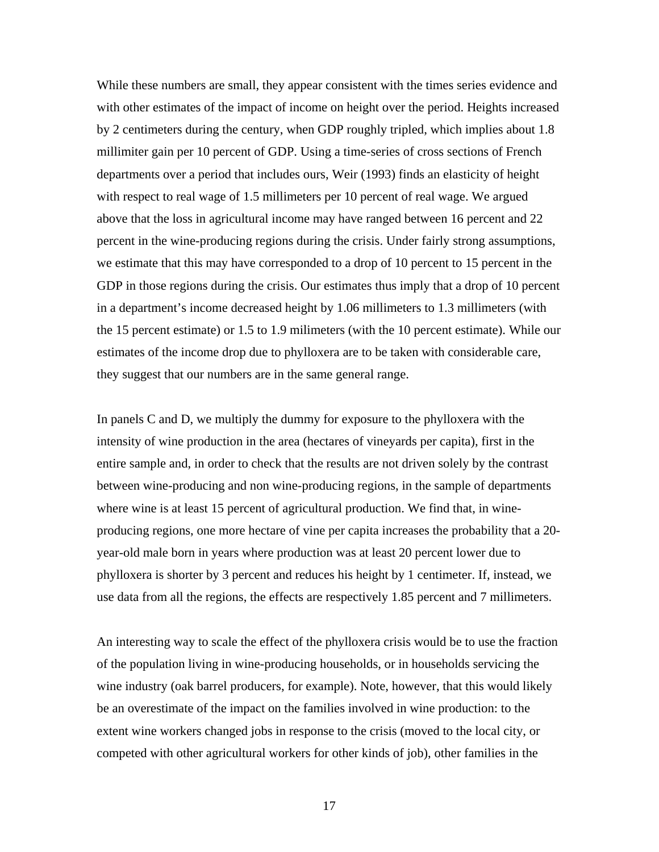While these numbers are small, they appear consistent with the times series evidence and with other estimates of the impact of income on height over the period. Heights increased by 2 centimeters during the century, when GDP roughly tripled, which implies about 1.8 millimiter gain per 10 percent of GDP. Using a time-series of cross sections of French departments over a period that includes ours, Weir (1993) finds an elasticity of height with respect to real wage of 1.5 millimeters per 10 percent of real wage. We argued above that the loss in agricultural income may have ranged between 16 percent and 22 percent in the wine-producing regions during the crisis. Under fairly strong assumptions, we estimate that this may have corresponded to a drop of 10 percent to 15 percent in the GDP in those regions during the crisis. Our estimates thus imply that a drop of 10 percent in a department's income decreased height by 1.06 millimeters to 1.3 millimeters (with the 15 percent estimate) or 1.5 to 1.9 milimeters (with the 10 percent estimate). While our estimates of the income drop due to phylloxera are to be taken with considerable care, they suggest that our numbers are in the same general range.

In panels C and D, we multiply the dummy for exposure to the phylloxera with the intensity of wine production in the area (hectares of vineyards per capita), first in the entire sample and, in order to check that the results are not driven solely by the contrast between wine-producing and non wine-producing regions, in the sample of departments where wine is at least 15 percent of agricultural production. We find that, in wineproducing regions, one more hectare of vine per capita increases the probability that a 20 year-old male born in years where production was at least 20 percent lower due to phylloxera is shorter by 3 percent and reduces his height by 1 centimeter. If, instead, we use data from all the regions, the effects are respectively 1.85 percent and 7 millimeters.

An interesting way to scale the effect of the phylloxera crisis would be to use the fraction of the population living in wine-producing households, or in households servicing the wine industry (oak barrel producers, for example). Note, however, that this would likely be an overestimate of the impact on the families involved in wine production: to the extent wine workers changed jobs in response to the crisis (moved to the local city, or competed with other agricultural workers for other kinds of job), other families in the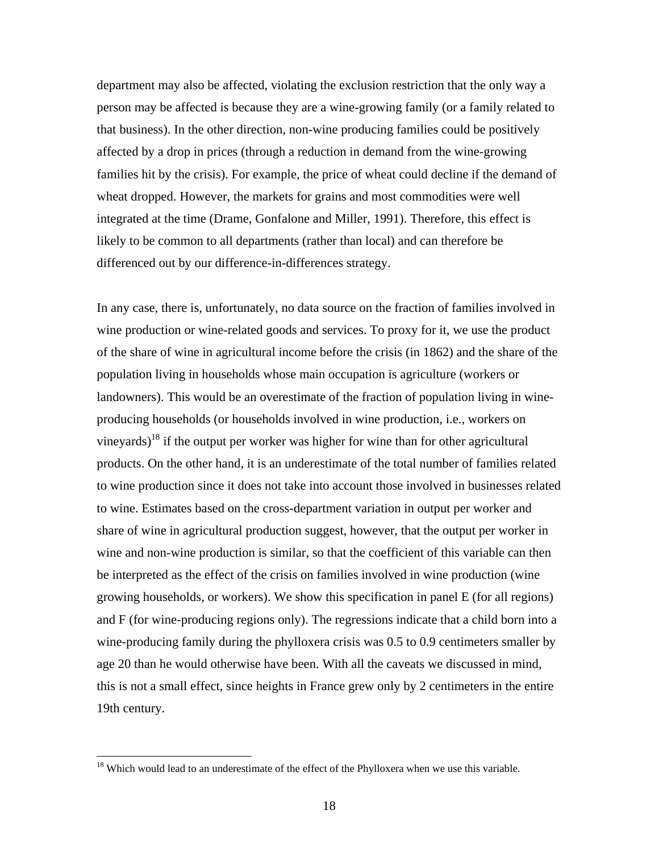department may also be affected, violating the exclusion restriction that the only way a person may be affected is because they are a wine-growing family (or a family related to that business). In the other direction, non-wine producing families could be positively affected by a drop in prices (through a reduction in demand from the wine-growing families hit by the crisis). For example, the price of wheat could decline if the demand of wheat dropped. However, the markets for grains and most commodities were well integrated at the time (Drame, Gonfalone and Miller, 1991). Therefore, this effect is likely to be common to all departments (rather than local) and can therefore be differenced out by our difference-in-differences strategy.

In any case, there is, unfortunately, no data source on the fraction of families involved in wine production or wine-related goods and services. To proxy for it, we use the product of the share of wine in agricultural income before the crisis (in 1862) and the share of the population living in households whose main occupation is agriculture (workers or landowners). This would be an overestimate of the fraction of population living in wineproducing households (or households involved in wine production, i.e., workers on vineyards)<sup>18</sup> if the output per worker was higher for wine than for other agricultural products. On the other hand, it is an underestimate of the total number of families related to wine production since it does not take into account those involved in businesses related to wine. Estimates based on the cross-department variation in output per worker and share of wine in agricultural production suggest, however, that the output per worker in wine and non-wine production is similar, so that the coefficient of this variable can then be interpreted as the effect of the crisis on families involved in wine production (wine growing households, or workers). We show this specification in panel E (for all regions) and F (for wine-producing regions only). The regressions indicate that a child born into a wine-producing family during the phylloxera crisis was 0.5 to 0.9 centimeters smaller by age 20 than he would otherwise have been. With all the caveats we discussed in mind, this is not a small effect, since heights in France grew only by 2 centimeters in the entire 19th century.

 $\overline{a}$ 

 $18$  Which would lead to an underestimate of the effect of the Phylloxera when we use this variable.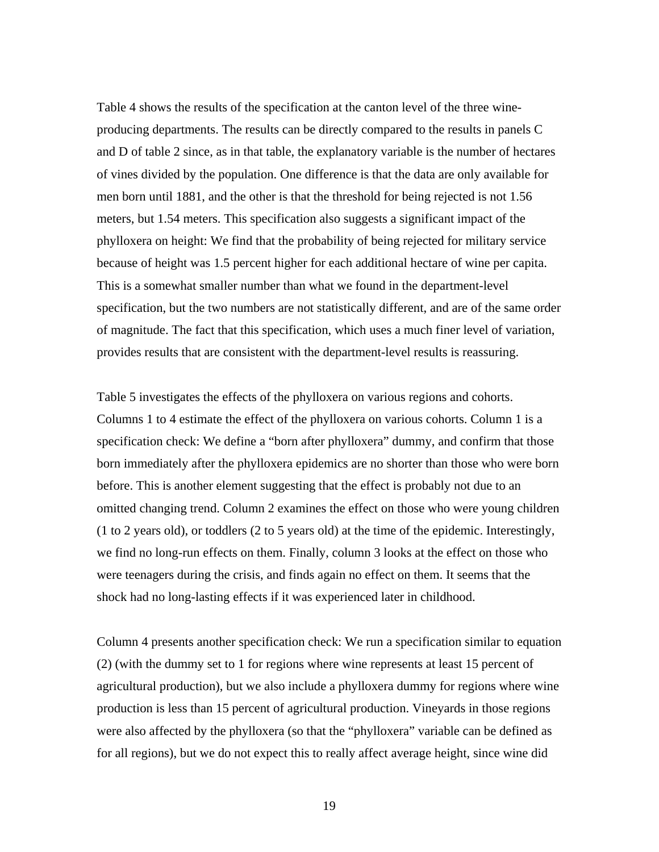Table 4 shows the results of the specification at the canton level of the three wineproducing departments. The results can be directly compared to the results in panels C and D of table 2 since, as in that table, the explanatory variable is the number of hectares of vines divided by the population. One difference is that the data are only available for men born until 1881, and the other is that the threshold for being rejected is not 1.56 meters, but 1.54 meters. This specification also suggests a significant impact of the phylloxera on height: We find that the probability of being rejected for military service because of height was 1.5 percent higher for each additional hectare of wine per capita. This is a somewhat smaller number than what we found in the department-level specification, but the two numbers are not statistically different, and are of the same order of magnitude. The fact that this specification, which uses a much finer level of variation, provides results that are consistent with the department-level results is reassuring.

Table 5 investigates the effects of the phylloxera on various regions and cohorts. Columns 1 to 4 estimate the effect of the phylloxera on various cohorts. Column 1 is a specification check: We define a "born after phylloxera" dummy, and confirm that those born immediately after the phylloxera epidemics are no shorter than those who were born before. This is another element suggesting that the effect is probably not due to an omitted changing trend. Column 2 examines the effect on those who were young children (1 to 2 years old), or toddlers (2 to 5 years old) at the time of the epidemic. Interestingly, we find no long-run effects on them. Finally, column 3 looks at the effect on those who were teenagers during the crisis, and finds again no effect on them. It seems that the shock had no long-lasting effects if it was experienced later in childhood.

Column 4 presents another specification check: We run a specification similar to equation (2) (with the dummy set to 1 for regions where wine represents at least 15 percent of agricultural production), but we also include a phylloxera dummy for regions where wine production is less than 15 percent of agricultural production. Vineyards in those regions were also affected by the phylloxera (so that the "phylloxera" variable can be defined as for all regions), but we do not expect this to really affect average height, since wine did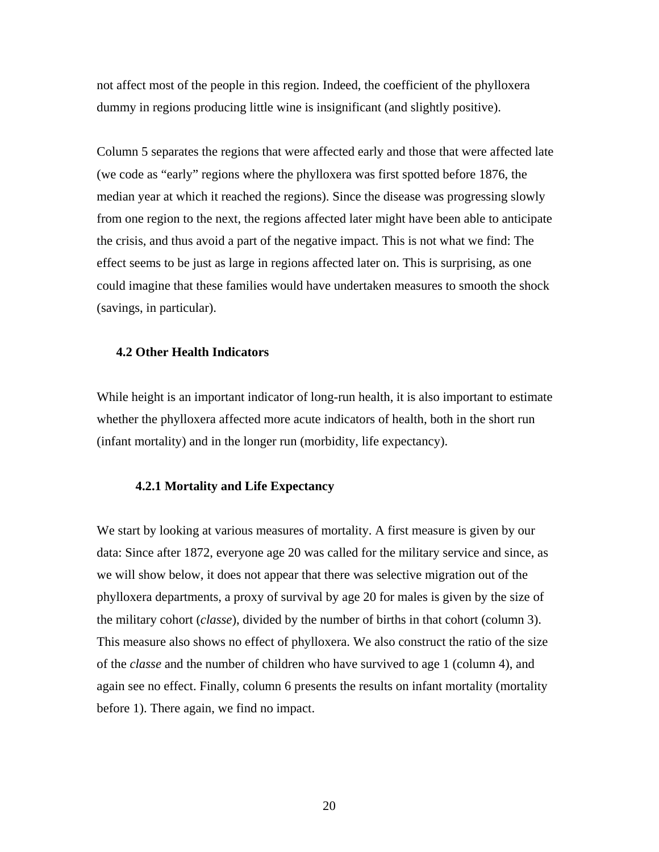not affect most of the people in this region. Indeed, the coefficient of the phylloxera dummy in regions producing little wine is insignificant (and slightly positive).

Column 5 separates the regions that were affected early and those that were affected late (we code as "early" regions where the phylloxera was first spotted before 1876, the median year at which it reached the regions). Since the disease was progressing slowly from one region to the next, the regions affected later might have been able to anticipate the crisis, and thus avoid a part of the negative impact. This is not what we find: The effect seems to be just as large in regions affected later on. This is surprising, as one could imagine that these families would have undertaken measures to smooth the shock (savings, in particular).

## **4.2 Other Health Indicators**

While height is an important indicator of long-run health, it is also important to estimate whether the phylloxera affected more acute indicators of health, both in the short run (infant mortality) and in the longer run (morbidity, life expectancy).

#### **4.2.1 Mortality and Life Expectancy**

We start by looking at various measures of mortality. A first measure is given by our data: Since after 1872, everyone age 20 was called for the military service and since, as we will show below, it does not appear that there was selective migration out of the phylloxera departments, a proxy of survival by age 20 for males is given by the size of the military cohort (*classe*), divided by the number of births in that cohort (column 3). This measure also shows no effect of phylloxera. We also construct the ratio of the size of the *classe* and the number of children who have survived to age 1 (column 4), and again see no effect. Finally, column 6 presents the results on infant mortality (mortality before 1). There again, we find no impact.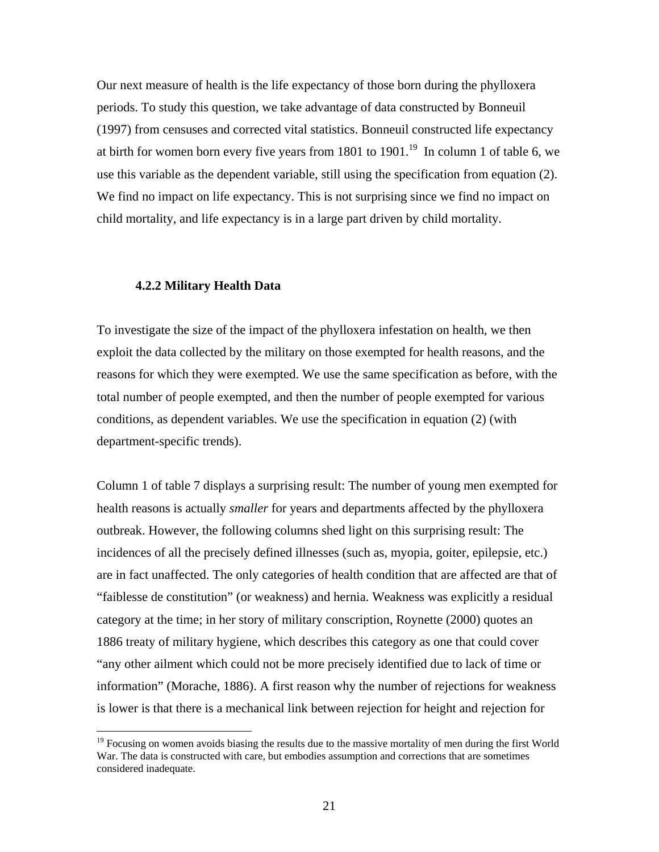Our next measure of health is the life expectancy of those born during the phylloxera periods. To study this question, we take advantage of data constructed by Bonneuil (1997) from censuses and corrected vital statistics. Bonneuil constructed life expectancy at birth for women born every five years from 1801 to 1901.<sup>19</sup> In column 1 of table 6, we use this variable as the dependent variable, still using the specification from equation (2). We find no impact on life expectancy. This is not surprising since we find no impact on child mortality, and life expectancy is in a large part driven by child mortality.

#### **4.2.2 Military Health Data**

1

To investigate the size of the impact of the phylloxera infestation on health, we then exploit the data collected by the military on those exempted for health reasons, and the reasons for which they were exempted. We use the same specification as before, with the total number of people exempted, and then the number of people exempted for various conditions, as dependent variables. We use the specification in equation (2) (with department-specific trends).

Column 1 of table 7 displays a surprising result: The number of young men exempted for health reasons is actually *smaller* for years and departments affected by the phylloxera outbreak. However, the following columns shed light on this surprising result: The incidences of all the precisely defined illnesses (such as, myopia, goiter, epilepsie, etc.) are in fact unaffected. The only categories of health condition that are affected are that of "faiblesse de constitution" (or weakness) and hernia. Weakness was explicitly a residual category at the time; in her story of military conscription, Roynette (2000) quotes an 1886 treaty of military hygiene, which describes this category as one that could cover "any other ailment which could not be more precisely identified due to lack of time or information" (Morache, 1886). A first reason why the number of rejections for weakness is lower is that there is a mechanical link between rejection for height and rejection for

<sup>&</sup>lt;sup>19</sup> Focusing on women avoids biasing the results due to the massive mortality of men during the first World War. The data is constructed with care, but embodies assumption and corrections that are sometimes considered inadequate.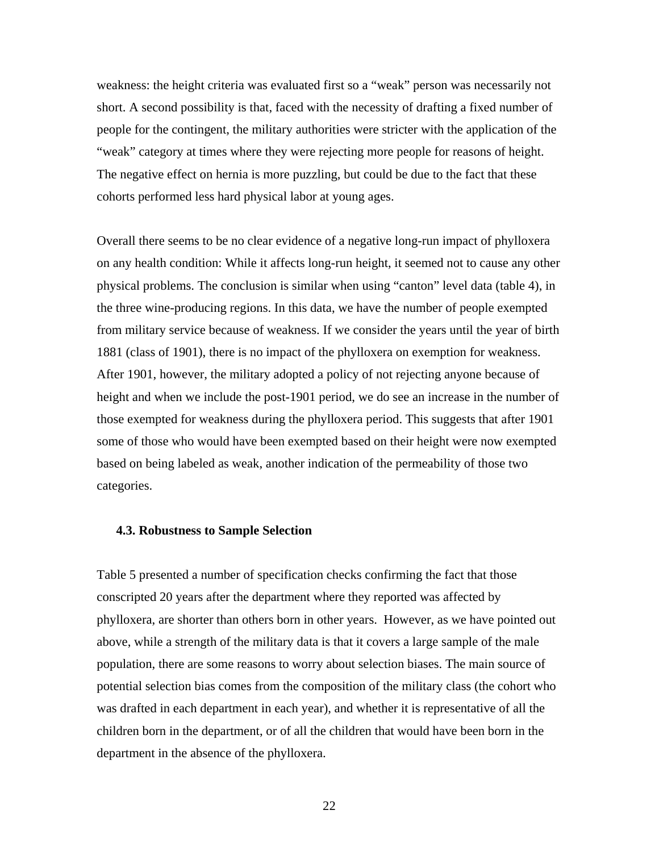weakness: the height criteria was evaluated first so a "weak" person was necessarily not short. A second possibility is that, faced with the necessity of drafting a fixed number of people for the contingent, the military authorities were stricter with the application of the "weak" category at times where they were rejecting more people for reasons of height. The negative effect on hernia is more puzzling, but could be due to the fact that these cohorts performed less hard physical labor at young ages.

Overall there seems to be no clear evidence of a negative long-run impact of phylloxera on any health condition: While it affects long-run height, it seemed not to cause any other physical problems. The conclusion is similar when using "canton" level data (table 4), in the three wine-producing regions. In this data, we have the number of people exempted from military service because of weakness. If we consider the years until the year of birth 1881 (class of 1901), there is no impact of the phylloxera on exemption for weakness. After 1901, however, the military adopted a policy of not rejecting anyone because of height and when we include the post-1901 period, we do see an increase in the number of those exempted for weakness during the phylloxera period. This suggests that after 1901 some of those who would have been exempted based on their height were now exempted based on being labeled as weak, another indication of the permeability of those two categories.

#### **4.3. Robustness to Sample Selection**

Table 5 presented a number of specification checks confirming the fact that those conscripted 20 years after the department where they reported was affected by phylloxera, are shorter than others born in other years. However, as we have pointed out above, while a strength of the military data is that it covers a large sample of the male population, there are some reasons to worry about selection biases. The main source of potential selection bias comes from the composition of the military class (the cohort who was drafted in each department in each year), and whether it is representative of all the children born in the department, or of all the children that would have been born in the department in the absence of the phylloxera.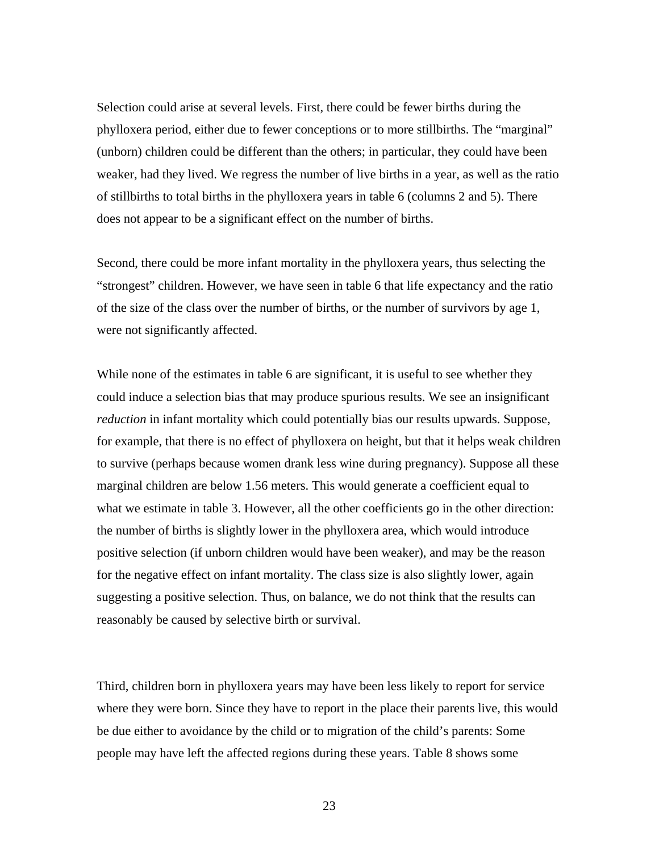Selection could arise at several levels. First, there could be fewer births during the phylloxera period, either due to fewer conceptions or to more stillbirths. The "marginal" (unborn) children could be different than the others; in particular, they could have been weaker, had they lived. We regress the number of live births in a year, as well as the ratio of stillbirths to total births in the phylloxera years in table 6 (columns 2 and 5). There does not appear to be a significant effect on the number of births.

Second, there could be more infant mortality in the phylloxera years, thus selecting the "strongest" children. However, we have seen in table 6 that life expectancy and the ratio of the size of the class over the number of births, or the number of survivors by age 1, were not significantly affected.

While none of the estimates in table 6 are significant, it is useful to see whether they could induce a selection bias that may produce spurious results. We see an insignificant *reduction* in infant mortality which could potentially bias our results upwards. Suppose, for example, that there is no effect of phylloxera on height, but that it helps weak children to survive (perhaps because women drank less wine during pregnancy). Suppose all these marginal children are below 1.56 meters. This would generate a coefficient equal to what we estimate in table 3. However, all the other coefficients go in the other direction: the number of births is slightly lower in the phylloxera area, which would introduce positive selection (if unborn children would have been weaker), and may be the reason for the negative effect on infant mortality. The class size is also slightly lower, again suggesting a positive selection. Thus, on balance, we do not think that the results can reasonably be caused by selective birth or survival.

Third, children born in phylloxera years may have been less likely to report for service where they were born. Since they have to report in the place their parents live, this would be due either to avoidance by the child or to migration of the child's parents: Some people may have left the affected regions during these years. Table 8 shows some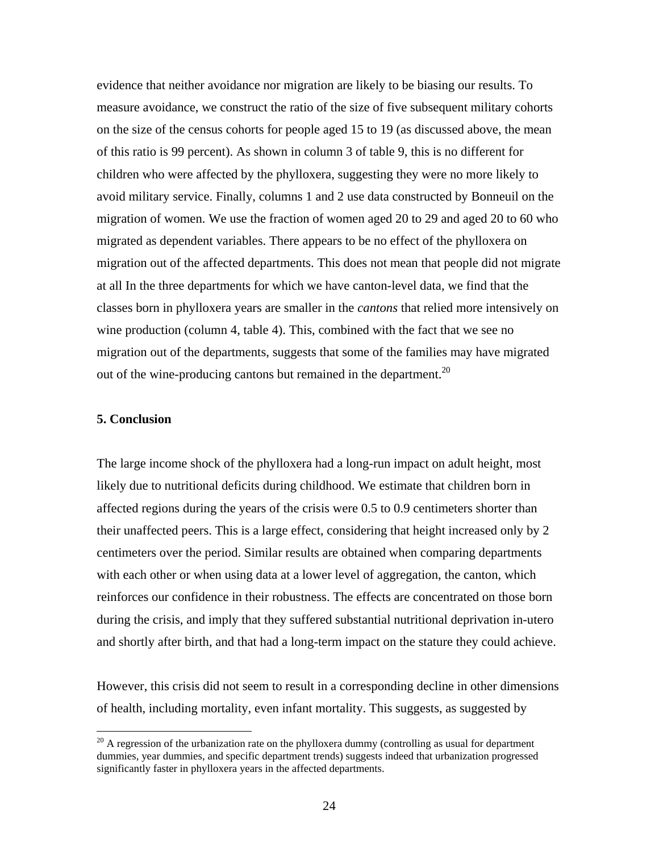evidence that neither avoidance nor migration are likely to be biasing our results. To measure avoidance, we construct the ratio of the size of five subsequent military cohorts on the size of the census cohorts for people aged 15 to 19 (as discussed above, the mean of this ratio is 99 percent). As shown in column 3 of table 9, this is no different for children who were affected by the phylloxera, suggesting they were no more likely to avoid military service. Finally, columns 1 and 2 use data constructed by Bonneuil on the migration of women. We use the fraction of women aged 20 to 29 and aged 20 to 60 who migrated as dependent variables. There appears to be no effect of the phylloxera on migration out of the affected departments. This does not mean that people did not migrate at all In the three departments for which we have canton-level data, we find that the classes born in phylloxera years are smaller in the *cantons* that relied more intensively on wine production (column 4, table 4). This, combined with the fact that we see no migration out of the departments, suggests that some of the families may have migrated out of the wine-producing cantons but remained in the department.<sup>20</sup>

## **5. Conclusion**

 $\overline{a}$ 

The large income shock of the phylloxera had a long-run impact on adult height, most likely due to nutritional deficits during childhood. We estimate that children born in affected regions during the years of the crisis were 0.5 to 0.9 centimeters shorter than their unaffected peers. This is a large effect, considering that height increased only by 2 centimeters over the period. Similar results are obtained when comparing departments with each other or when using data at a lower level of aggregation, the canton, which reinforces our confidence in their robustness. The effects are concentrated on those born during the crisis, and imply that they suffered substantial nutritional deprivation in-utero and shortly after birth, and that had a long-term impact on the stature they could achieve.

However, this crisis did not seem to result in a corresponding decline in other dimensions of health, including mortality, even infant mortality. This suggests, as suggested by

 $20$  A regression of the urbanization rate on the phylloxera dummy (controlling as usual for department dummies, year dummies, and specific department trends) suggests indeed that urbanization progressed significantly faster in phylloxera years in the affected departments.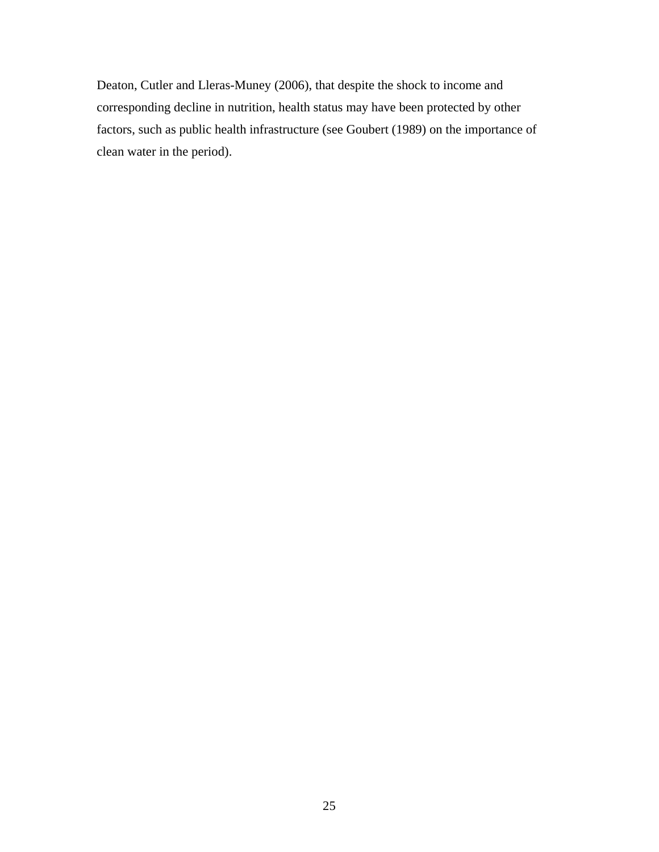Deaton, Cutler and Lleras-Muney (2006), that despite the shock to income and corresponding decline in nutrition, health status may have been protected by other factors, such as public health infrastructure (see Goubert (1989) on the importance of clean water in the period).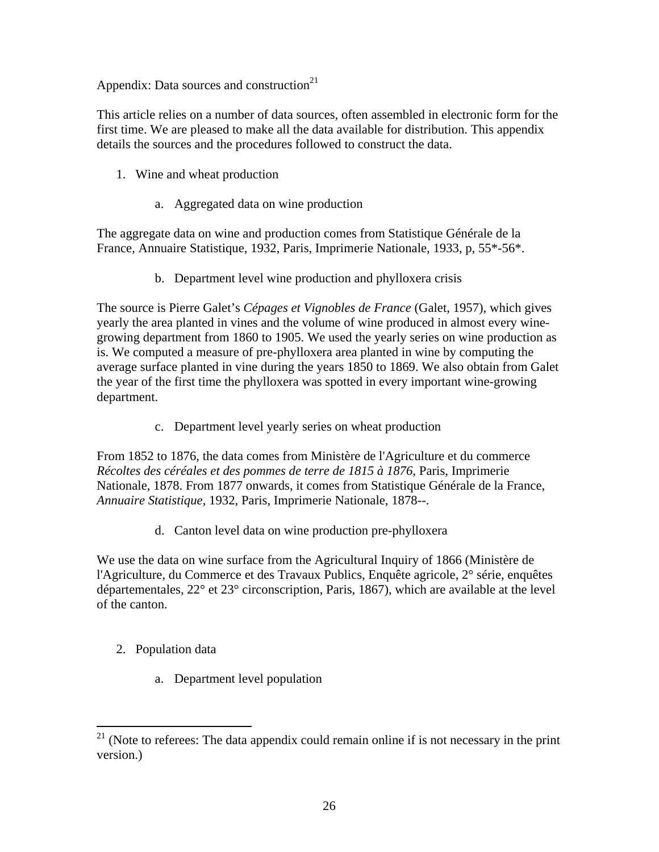Appendix: Data sources and construction<sup>21</sup>

This article relies on a number of data sources, often assembled in electronic form for the first time. We are pleased to make all the data available for distribution. This appendix details the sources and the procedures followed to construct the data.

- 1. Wine and wheat production
	- a. Aggregated data on wine production

The aggregate data on wine and production comes from Statistique Générale de la France, Annuaire Statistique, 1932, Paris, Imprimerie Nationale, 1933, p, 55\*-56\*.

b. Department level wine production and phylloxera crisis

The source is Pierre Galet's *Cépages et Vignobles de France* (Galet, 1957), which gives yearly the area planted in vines and the volume of wine produced in almost every winegrowing department from 1860 to 1905. We used the yearly series on wine production as is. We computed a measure of pre-phylloxera area planted in wine by computing the average surface planted in vine during the years 1850 to 1869. We also obtain from Galet the year of the first time the phylloxera was spotted in every important wine-growing department.

c. Department level yearly series on wheat production

From 1852 to 1876, the data comes from Ministère de l'Agriculture et du commerce *Récoltes des céréales et des pommes de terre de 1815 à 1876*, Paris, Imprimerie Nationale, 1878. From 1877 onwards, it comes from Statistique Générale de la France, *Annuaire Statistique*, 1932, Paris, Imprimerie Nationale, 1878--.

d. Canton level data on wine production pre-phylloxera

We use the data on wine surface from the Agricultural Inquiry of 1866 (Ministère de l'Agriculture, du Commerce et des Travaux Publics, Enquête agricole, 2° série, enquêtes départementales, 22° et 23° circonscription, Paris, 1867), which are available at the level of the canton.

2. Population data

 $\overline{a}$ 

a. Department level population

 $21$  (Note to referees: The data appendix could remain online if is not necessary in the print version.)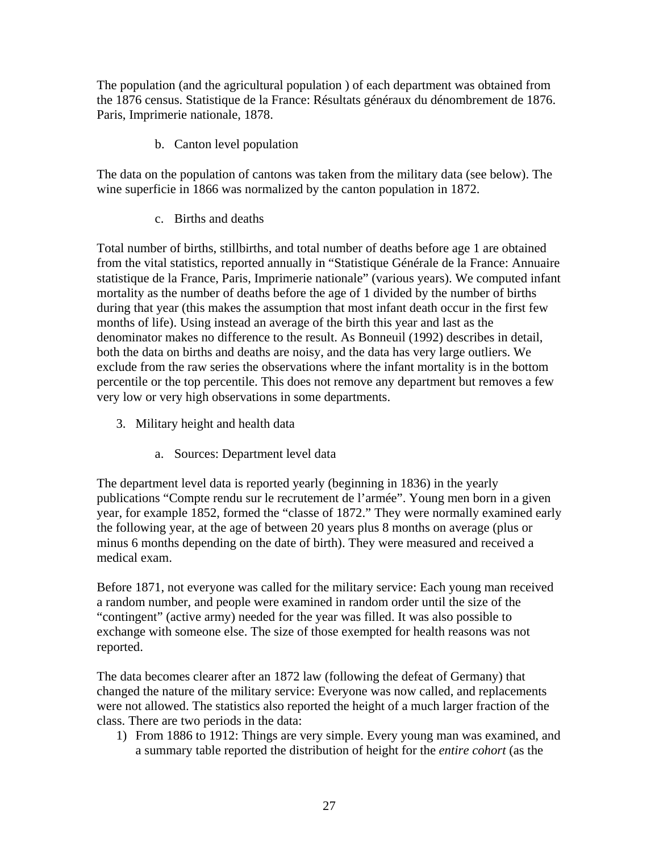The population (and the agricultural population ) of each department was obtained from the 1876 census. Statistique de la France: Résultats généraux du dénombrement de 1876. Paris, Imprimerie nationale, 1878.

b. Canton level population

The data on the population of cantons was taken from the military data (see below). The wine superficie in 1866 was normalized by the canton population in 1872.

c. Births and deaths

Total number of births, stillbirths, and total number of deaths before age 1 are obtained from the vital statistics, reported annually in "Statistique Générale de la France: Annuaire statistique de la France, Paris, Imprimerie nationale" (various years). We computed infant mortality as the number of deaths before the age of 1 divided by the number of births during that year (this makes the assumption that most infant death occur in the first few months of life). Using instead an average of the birth this year and last as the denominator makes no difference to the result. As Bonneuil (1992) describes in detail, both the data on births and deaths are noisy, and the data has very large outliers. We exclude from the raw series the observations where the infant mortality is in the bottom percentile or the top percentile. This does not remove any department but removes a few very low or very high observations in some departments.

- 3. Military height and health data
	- a. Sources: Department level data

The department level data is reported yearly (beginning in 1836) in the yearly publications "Compte rendu sur le recrutement de l'armée". Young men born in a given year, for example 1852, formed the "classe of 1872." They were normally examined early the following year, at the age of between 20 years plus 8 months on average (plus or minus 6 months depending on the date of birth). They were measured and received a medical exam.

Before 1871, not everyone was called for the military service: Each young man received a random number, and people were examined in random order until the size of the "contingent" (active army) needed for the year was filled. It was also possible to exchange with someone else. The size of those exempted for health reasons was not reported.

The data becomes clearer after an 1872 law (following the defeat of Germany) that changed the nature of the military service: Everyone was now called, and replacements were not allowed. The statistics also reported the height of a much larger fraction of the class. There are two periods in the data:

1) From 1886 to 1912: Things are very simple. Every young man was examined, and a summary table reported the distribution of height for the *entire cohort* (as the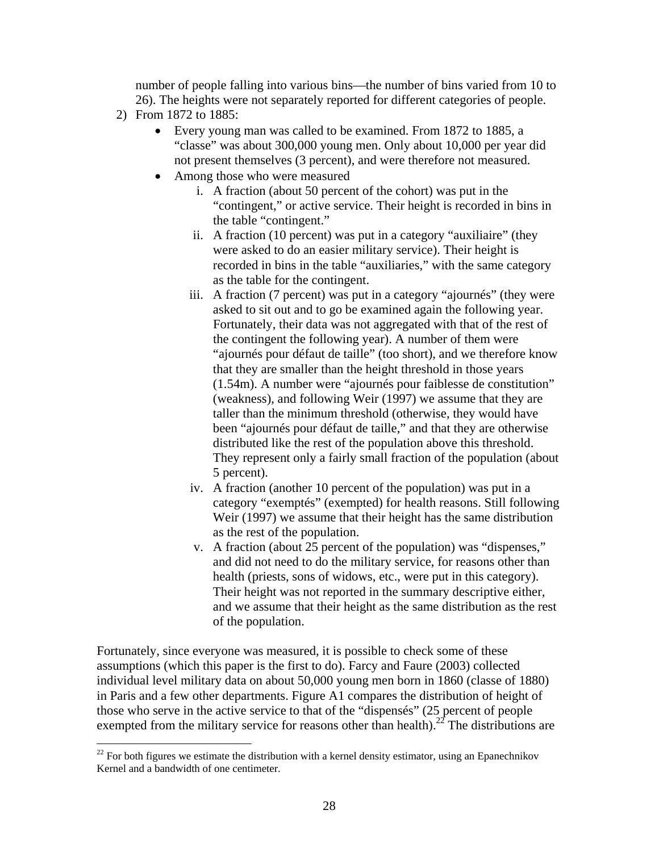number of people falling into various bins—the number of bins varied from 10 to 26). The heights were not separately reported for different categories of people.

2) From 1872 to 1885:

 $\overline{a}$ 

- Every young man was called to be examined. From 1872 to 1885, a "classe" was about 300,000 young men. Only about 10,000 per year did not present themselves (3 percent), and were therefore not measured.
- Among those who were measured
	- i. A fraction (about 50 percent of the cohort) was put in the "contingent," or active service. Their height is recorded in bins in the table "contingent."
	- ii. A fraction (10 percent) was put in a category "auxiliaire" (they were asked to do an easier military service). Their height is recorded in bins in the table "auxiliaries," with the same category as the table for the contingent.
	- iii. A fraction (7 percent) was put in a category "ajournés" (they were asked to sit out and to go be examined again the following year. Fortunately, their data was not aggregated with that of the rest of the contingent the following year). A number of them were "ajournés pour défaut de taille" (too short), and we therefore know that they are smaller than the height threshold in those years (1.54m). A number were "ajournés pour faiblesse de constitution" (weakness), and following Weir (1997) we assume that they are taller than the minimum threshold (otherwise, they would have been "ajournés pour défaut de taille," and that they are otherwise distributed like the rest of the population above this threshold. They represent only a fairly small fraction of the population (about 5 percent).
	- iv. A fraction (another 10 percent of the population) was put in a category "exemptés" (exempted) for health reasons. Still following Weir (1997) we assume that their height has the same distribution as the rest of the population.
	- v. A fraction (about 25 percent of the population) was "dispenses," and did not need to do the military service, for reasons other than health (priests, sons of widows, etc., were put in this category). Their height was not reported in the summary descriptive either, and we assume that their height as the same distribution as the rest of the population.

Fortunately, since everyone was measured, it is possible to check some of these assumptions (which this paper is the first to do). Farcy and Faure (2003) collected individual level military data on about 50,000 young men born in 1860 (classe of 1880) in Paris and a few other departments. Figure A1 compares the distribution of height of those who serve in the active service to that of the "dispensés" (25 percent of people exempted from the military service for reasons other than health).<sup>22</sup> The distributions are

 $22$  For both figures we estimate the distribution with a kernel density estimator, using an Epanechnikov Kernel and a bandwidth of one centimeter.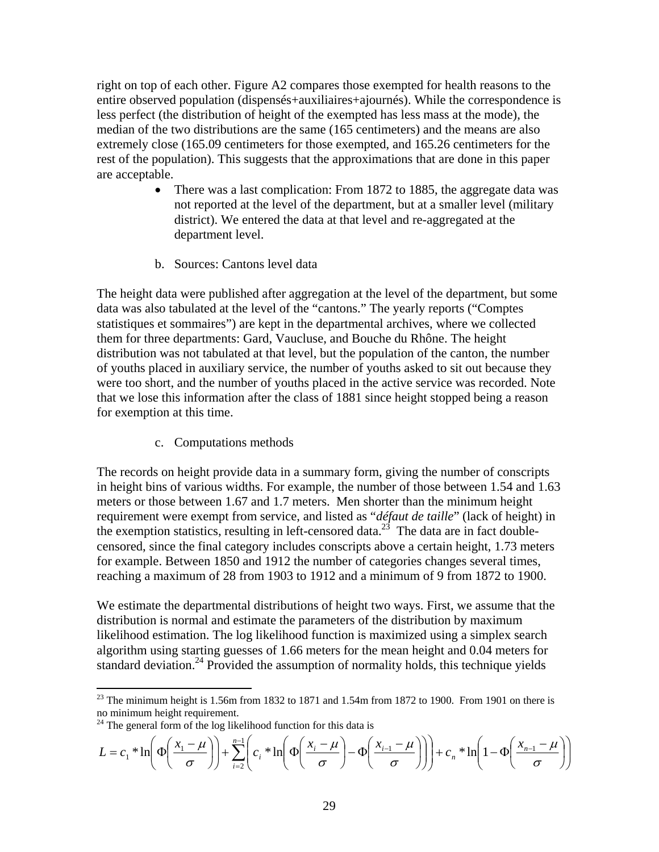right on top of each other. Figure A2 compares those exempted for health reasons to the entire observed population (dispensés+auxiliaires+ajournés). While the correspondence is less perfect (the distribution of height of the exempted has less mass at the mode), the median of the two distributions are the same (165 centimeters) and the means are also extremely close (165.09 centimeters for those exempted, and 165.26 centimeters for the rest of the population). This suggests that the approximations that are done in this paper are acceptable.

- There was a last complication: From 1872 to 1885, the aggregate data was not reported at the level of the department, but at a smaller level (military district). We entered the data at that level and re-aggregated at the department level.
- b. Sources: Cantons level data

The height data were published after aggregation at the level of the department, but some data was also tabulated at the level of the "cantons." The yearly reports ("Comptes statistiques et sommaires") are kept in the departmental archives, where we collected them for three departments: Gard, Vaucluse, and Bouche du Rhône. The height distribution was not tabulated at that level, but the population of the canton, the number of youths placed in auxiliary service, the number of youths asked to sit out because they were too short, and the number of youths placed in the active service was recorded. Note that we lose this information after the class of 1881 since height stopped being a reason for exemption at this time.

c. Computations methods

The records on height provide data in a summary form, giving the number of conscripts in height bins of various widths. For example, the number of those between 1.54 and 1.63 meters or those between 1.67 and 1.7 meters. Men shorter than the minimum height requirement were exempt from service, and listed as "*défaut de taille*" (lack of height) in the exemption statistics, resulting in left-censored data.<sup>23</sup> The data are in fact doublecensored, since the final category includes conscripts above a certain height, 1.73 meters for example. Between 1850 and 1912 the number of categories changes several times, reaching a maximum of 28 from 1903 to 1912 and a minimum of 9 from 1872 to 1900.

We estimate the departmental distributions of height two ways. First, we assume that the distribution is normal and estimate the parameters of the distribution by maximum likelihood estimation. The log likelihood function is maximized using a simplex search algorithm using starting guesses of 1.66 meters for the mean height and 0.04 meters for standard deviation.<sup>24</sup> Provided the assumption of normality holds, this technique yields

 $\overline{a}$ 

$$
L = c_1 * \ln\left(\Phi\left(\frac{x_1 - \mu}{\sigma}\right)\right) + \sum_{i=2}^{n-1} \left(c_i * \ln\left(\Phi\left(\frac{x_i - \mu}{\sigma}\right) - \Phi\left(\frac{x_{i-1} - \mu}{\sigma}\right)\right)\right) + c_n * \ln\left(1 - \Phi\left(\frac{x_{n-1} - \mu}{\sigma}\right)\right)
$$

<sup>&</sup>lt;sup>23</sup> The minimum height is 1.56m from 1832 to 1871 and 1.54m from 1872 to 1900. From 1901 on there is no minimum height requirement.

 $24$  The general form of the log likelihood function for this data is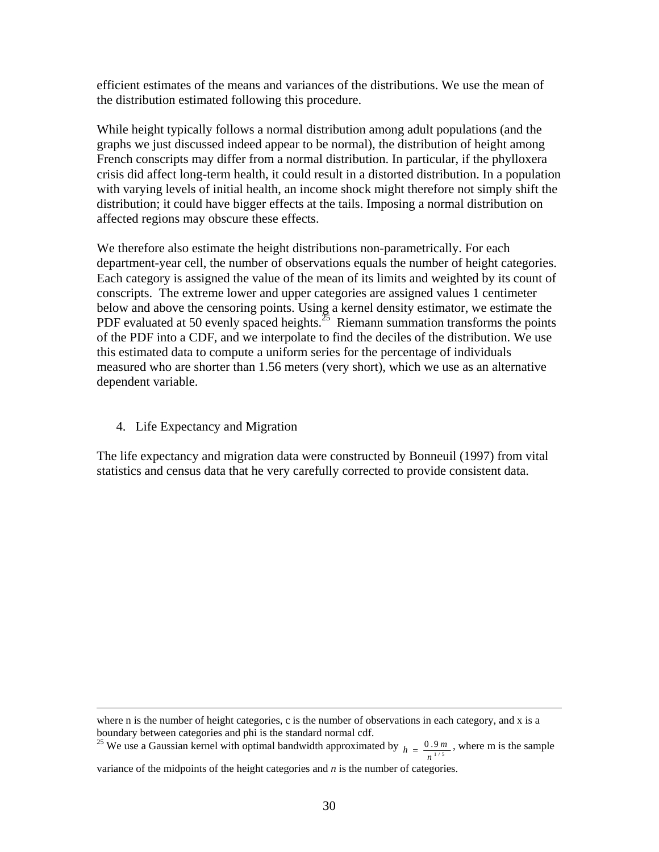efficient estimates of the means and variances of the distributions. We use the mean of the distribution estimated following this procedure.

While height typically follows a normal distribution among adult populations (and the graphs we just discussed indeed appear to be normal), the distribution of height among French conscripts may differ from a normal distribution. In particular, if the phylloxera crisis did affect long-term health, it could result in a distorted distribution. In a population with varying levels of initial health, an income shock might therefore not simply shift the distribution; it could have bigger effects at the tails. Imposing a normal distribution on affected regions may obscure these effects.

We therefore also estimate the height distributions non-parametrically. For each department-year cell, the number of observations equals the number of height categories. Each category is assigned the value of the mean of its limits and weighted by its count of conscripts. The extreme lower and upper categories are assigned values 1 centimeter below and above the censoring points. Using a kernel density estimator, we estimate the PDF evaluated at 50 evenly spaced heights.<sup>25</sup> Riemann summation transforms the points of the PDF into a CDF, and we interpolate to find the deciles of the distribution. We use this estimated data to compute a uniform series for the percentage of individuals measured who are shorter than 1.56 meters (very short), which we use as an alternative dependent variable.

4. Life Expectancy and Migration

The life expectancy and migration data were constructed by Bonneuil (1997) from vital statistics and census data that he very carefully corrected to provide consistent data.

where n is the number of height categories, c is the number of observations in each category, and x is a

boundary between categories and phi is the standard normal cdf.<br><sup>25</sup> We use a Gaussian kernel with optimal bandwidth approximated by  $h = \frac{0.9 \, n}{n^{1/5}}$  $h = \frac{0.9 \, m}{n^{1/5}}$ , where m is the sample

variance of the midpoints of the height categories and *n* is the number of categories.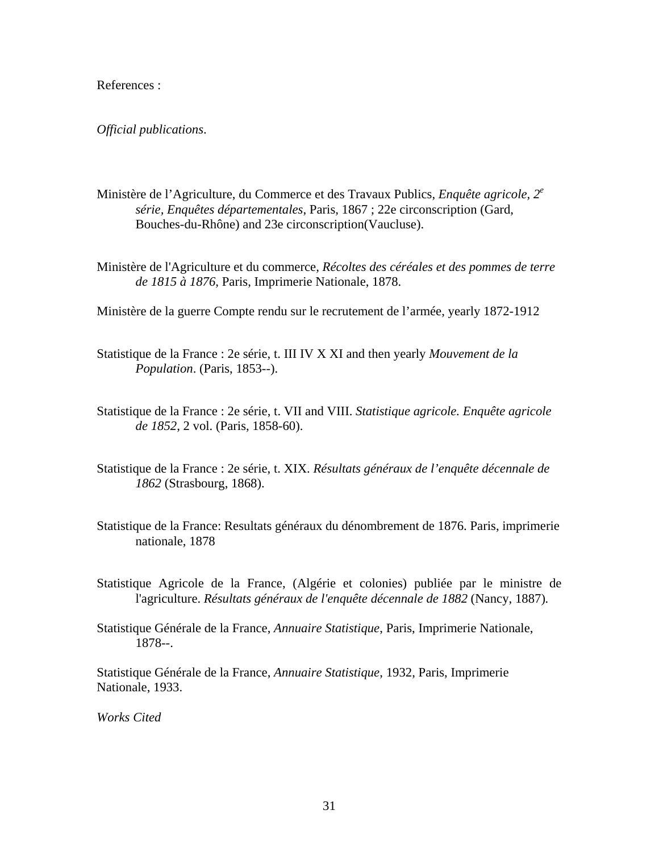## References :

#### *Official publications*.

- Ministère de l'Agriculture, du Commerce et des Travaux Publics, *Enquête agricole, 2<sup>e</sup> série, Enquêtes départementales*, Paris, 1867 ; 22e circonscription (Gard, Bouches-du-Rhône) and 23e circonscription(Vaucluse).
- Ministère de l'Agriculture et du commerce, *Récoltes des céréales et des pommes de terre de 1815 à 1876*, Paris, Imprimerie Nationale, 1878.
- Ministère de la guerre Compte rendu sur le recrutement de l'armée, yearly 1872-1912
- Statistique de la France : 2e série, t. III IV X XI and then yearly *Mouvement de la Population*. (Paris, 1853--).
- Statistique de la France : 2e série, t. VII and VIII. *Statistique agricole. Enquête agricole de 1852*, 2 vol. (Paris, 1858-60).
- Statistique de la France : 2e série, t. XIX. *Résultats généraux de l'enquête décennale de 1862* (Strasbourg, 1868).
- Statistique de la France: Resultats généraux du dénombrement de 1876. Paris, imprimerie nationale, 1878
- Statistique Agricole de la France, (Algérie et colonies) publiée par le ministre de l'agriculture. *Résultats généraux de l'enquête décennale de 1882* (Nancy, 1887)*.*
- Statistique Générale de la France, *Annuaire Statistique*, Paris, Imprimerie Nationale, 1878--.

Statistique Générale de la France, *Annuaire Statistique*, 1932, Paris, Imprimerie Nationale, 1933.

*Works Cited*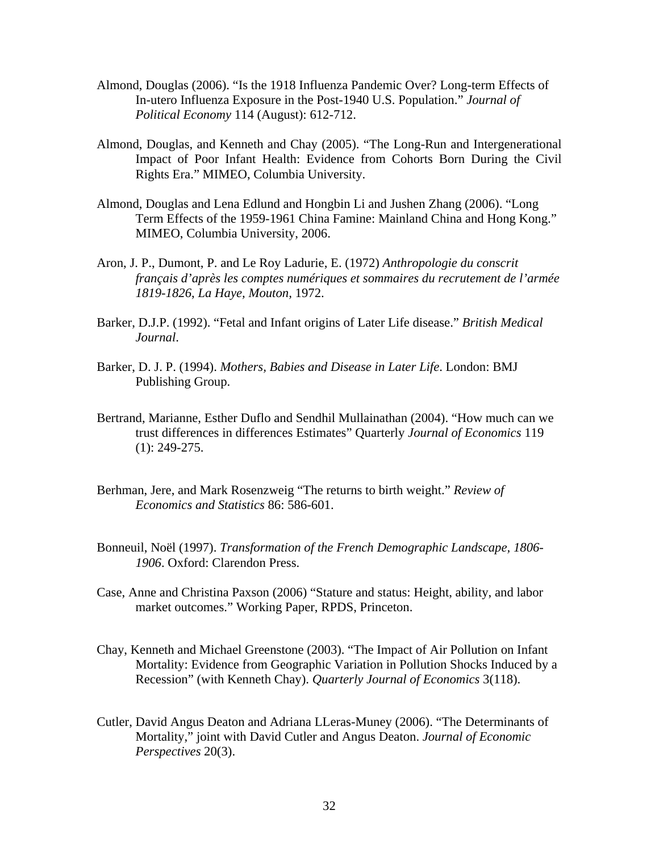- Almond, Douglas (2006). "Is the 1918 Influenza Pandemic Over? Long-term Effects of In-utero Influenza Exposure in the Post-1940 U.S. Population." *Journal of Political Economy* 114 (August): 612-712.
- Almond, Douglas, and Kenneth and Chay (2005). "The Long-Run and Intergenerational Impact of Poor Infant Health: Evidence from Cohorts Born During the Civil Rights Era." MIMEO, Columbia University.
- Almond, Douglas and Lena Edlund and Hongbin Li and Jushen Zhang (2006). "Long Term Effects of the 1959-1961 China Famine: Mainland China and Hong Kong." MIMEO, Columbia University, 2006.
- Aron, J. P., Dumont, P. and Le Roy Ladurie, E. (1972) *Anthropologie du conscrit français d'après les comptes numériques et sommaires du recrutement de l'armée 1819-1826*, *La Haye, Mouton,* 1972.
- Barker, D.J.P. (1992). "Fetal and Infant origins of Later Life disease." *British Medical Journal*.
- Barker, D. J. P. (1994). *Mothers, Babies and Disease in Later Life*. London: BMJ Publishing Group.
- Bertrand, Marianne, Esther Duflo and Sendhil Mullainathan (2004). "How much can we trust differences in differences Estimates" Quarterly *Journal of Economics* 119 (1): 249-275.
- Berhman, Jere, and Mark Rosenzweig "The returns to birth weight." *Review of Economics and Statistics* 86: 586-601.
- Bonneuil, Noël (1997). *Transformation of the French Demographic Landscape, 1806- 1906*. Oxford: Clarendon Press.
- Case, Anne and Christina Paxson (2006) "Stature and status: Height, ability, and labor market outcomes." Working Paper, RPDS, Princeton.
- Chay, Kenneth and Michael Greenstone (2003). "The Impact of Air Pollution on Infant Mortality: Evidence from Geographic Variation in Pollution Shocks Induced by a Recession" (with Kenneth Chay). *Quarterly Journal of Economics* 3(118).
- Cutler, David Angus Deaton and Adriana LLeras-Muney (2006). "The Determinants of Mortality," joint with David Cutler and Angus Deaton. *Journal of Economic Perspectives* 20(3).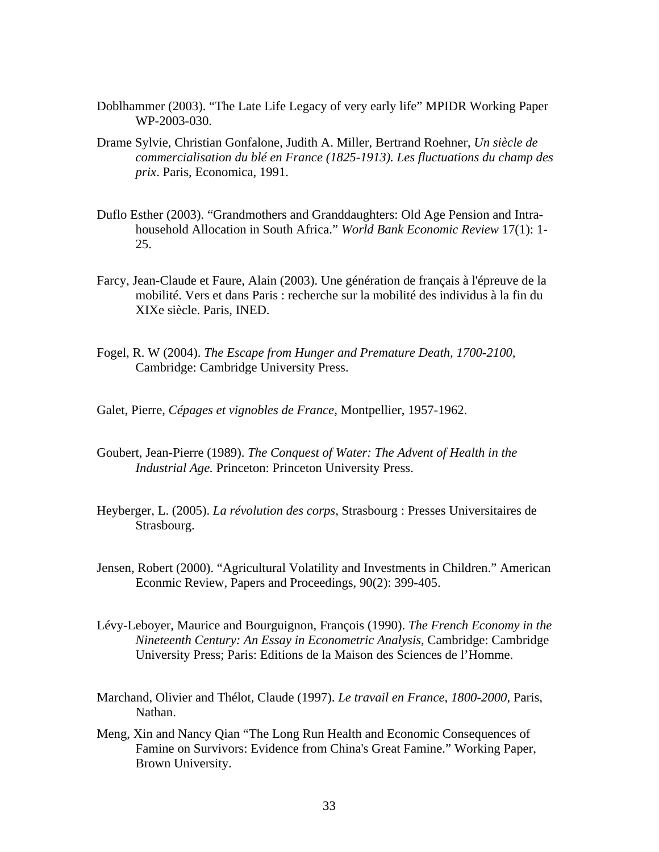- Doblhammer (2003). "The Late Life Legacy of very early life" MPIDR Working Paper WP-2003-030.
- Drame Sylvie, Christian Gonfalone, Judith A. Miller, Bertrand Roehner, *Un siècle de commercialisation du blé en France (1825-1913). Les fluctuations du champ des prix*. Paris, Economica, 1991.
- Duflo Esther (2003). "Grandmothers and Granddaughters: Old Age Pension and Intrahousehold Allocation in South Africa." *World Bank Economic Review* 17(1): 1- 25.
- Farcy, Jean-Claude et Faure, Alain (2003). Une génération de français à l'épreuve de la mobilité. Vers et dans Paris : recherche sur la mobilité des individus à la fin du XIXe siècle. Paris, INED.
- Fogel, R. W (2004). *The Escape from Hunger and Premature Death, 1700-2100,*  Cambridge: Cambridge University Press.
- Galet, Pierre, *Cépages et vignobles de France*, Montpellier, 1957-1962.
- Goubert, Jean-Pierre (1989). *The Conquest of Water: The Advent of Health in the Industrial Age.* Princeton: Princeton University Press.
- Heyberger, L. (2005). *La révolution des corps,* Strasbourg : Presses Universitaires de Strasbourg.
- Jensen, Robert (2000). "Agricultural Volatility and Investments in Children." American Econmic Review, Papers and Proceedings, 90(2): 399-405.
- Lévy-Leboyer, Maurice and Bourguignon, François (1990). *The French Economy in the Nineteenth Century: An Essay in Econometric Analysis*, Cambridge: Cambridge University Press; Paris: Editions de la Maison des Sciences de l'Homme.
- Marchand, Olivier and Thélot, Claude (1997). *Le travail en France*, *1800-2000*, Paris, Nathan.
- Meng, Xin and Nancy Qian "The Long Run Health and Economic Consequences of Famine on Survivors: Evidence from China's Great Famine." Working Paper, Brown University.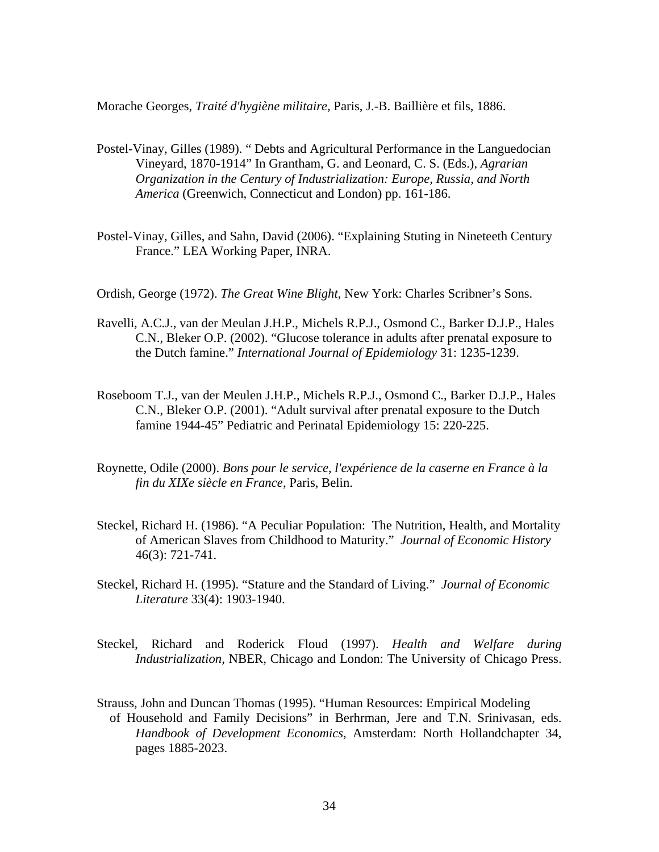Morache Georges, *Traité d'hygiène militaire*, Paris, J.-B. Baillière et fils, 1886.

- Postel-Vinay, Gilles (1989). " Debts and Agricultural Performance in the Languedocian Vineyard, 1870-1914" In Grantham, G. and Leonard, C. S. (Eds.), *Agrarian Organization in the Century of Industrialization: Europe, Russia, and North America* (Greenwich, Connecticut and London) pp. 161-186.
- Postel-Vinay, Gilles, and Sahn, David (2006). "Explaining Stuting in Nineteeth Century France." LEA Working Paper, INRA.
- Ordish, George (1972). *The Great Wine Blight*, New York: Charles Scribner's Sons.
- Ravelli, A.C.J., van der Meulan J.H.P., Michels R.P.J., Osmond C., Barker D.J.P., Hales C.N., Bleker O.P. (2002). "Glucose tolerance in adults after prenatal exposure to the Dutch famine." *International Journal of Epidemiology* 31: 1235-1239.
- Roseboom T.J., van der Meulen J.H.P., Michels R.P.J., Osmond C., Barker D.J.P., Hales C.N., Bleker O.P. (2001). "Adult survival after prenatal exposure to the Dutch famine 1944-45" Pediatric and Perinatal Epidemiology 15: 220-225.
- Roynette, Odile (2000). *Bons pour le service, l'expérience de la caserne en France à la fin du XIXe siècle en France*, Paris, Belin.
- Steckel, Richard H. (1986). "A Peculiar Population: The Nutrition, Health, and Mortality of American Slaves from Childhood to Maturity." *Journal of Economic History* 46(3): 721-741.
- Steckel, Richard H. (1995). "Stature and the Standard of Living." *Journal of Economic Literature* 33(4): 1903-1940.
- Steckel, Richard and Roderick Floud (1997). *Health and Welfare during Industrialization,* NBER, Chicago and London: The University of Chicago Press.
- Strauss, John and Duncan Thomas (1995). "Human Resources: Empirical Modeling of Household and Family Decisions" in Berhrman, Jere and T.N. Srinivasan, eds. *Handbook of Development Economics*, Amsterdam: North Hollandchapter 34, pages 1885-2023.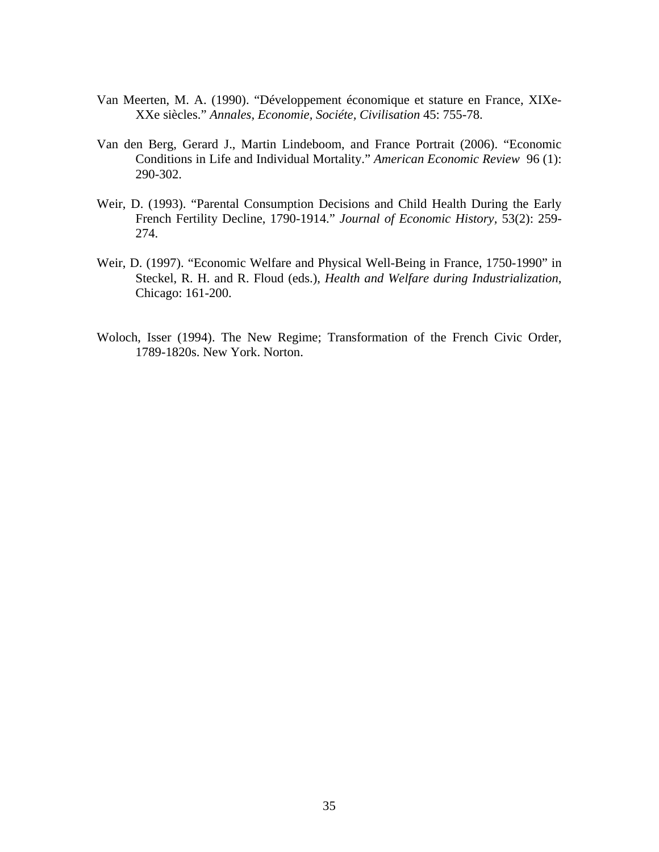- Van Meerten, M. A. (1990). "Développement économique et stature en France, XIXe-XXe siècles." *Annales, Economie, Sociéte, Civilisation* 45: 755-78.
- Van den Berg, Gerard J., Martin Lindeboom, and France Portrait (2006). "Economic Conditions in Life and Individual Mortality." *American Economic Review* 96 (1): 290-302.
- Weir, D. (1993). "Parental Consumption Decisions and Child Health During the Early French Fertility Decline, 1790-1914." *Journal of Economic History,* 53(2): 259- 274.
- Weir, D. (1997). "Economic Welfare and Physical Well-Being in France, 1750-1990" in Steckel, R. H. and R. Floud (eds.), *Health and Welfare during Industrialization*, Chicago: 161-200.
- Woloch, Isser (1994). The New Regime; Transformation of the French Civic Order, 1789-1820s. New York. Norton.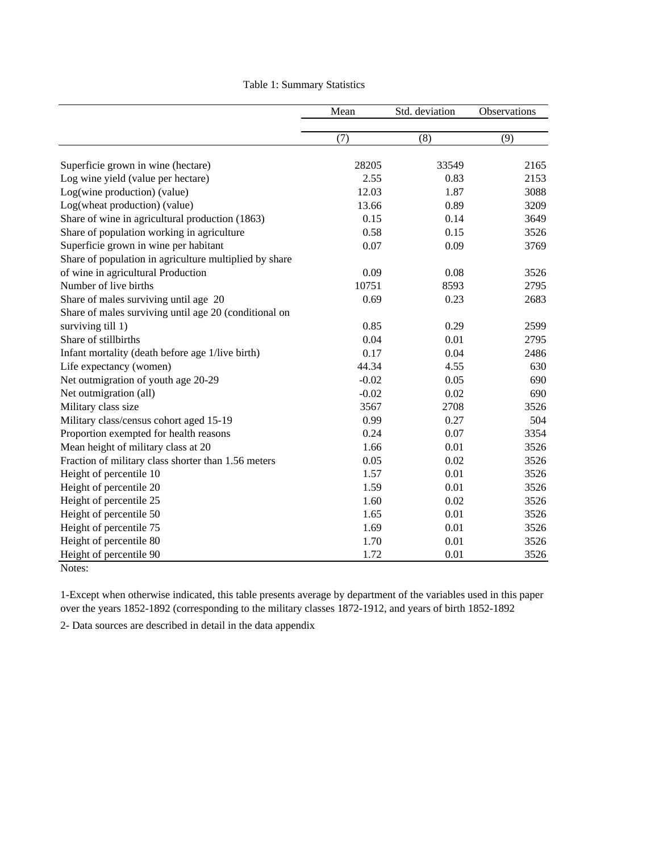|                                                        | Mean    | Std. deviation | Observations |
|--------------------------------------------------------|---------|----------------|--------------|
|                                                        | (7)     | (8)            | (9)          |
| Superficie grown in wine (hectare)                     | 28205   | 33549          | 2165         |
| Log wine yield (value per hectare)                     | 2.55    | 0.83           | 2153         |
| Log(wine production) (value)                           | 12.03   | 1.87           | 3088         |
| Log(wheat production) (value)                          | 13.66   | 0.89           | 3209         |
| Share of wine in agricultural production (1863)        | 0.15    | 0.14           | 3649         |
| Share of population working in agriculture             | 0.58    | 0.15           | 3526         |
| Superficie grown in wine per habitant                  | 0.07    | 0.09           | 3769         |
| Share of population in agriculture multiplied by share |         |                |              |
| of wine in agricultural Production                     | 0.09    | 0.08           | 3526         |
| Number of live births                                  | 10751   | 8593           | 2795         |
| Share of males surviving until age 20                  | 0.69    | 0.23           | 2683         |
| Share of males surviving until age 20 (conditional on  |         |                |              |
| surviving till 1)                                      | 0.85    | 0.29           | 2599         |
| Share of stillbirths                                   | 0.04    | 0.01           | 2795         |
| Infant mortality (death before age 1/live birth)       | 0.17    | 0.04           | 2486         |
| Life expectancy (women)                                | 44.34   | 4.55           | 630          |
| Net outmigration of youth age 20-29                    | $-0.02$ | 0.05           | 690          |
| Net outmigration (all)                                 | $-0.02$ | 0.02           | 690          |
| Military class size                                    | 3567    | 2708           | 3526         |
| Military class/census cohort aged 15-19                | 0.99    | 0.27           | 504          |
| Proportion exempted for health reasons                 | 0.24    | 0.07           | 3354         |
| Mean height of military class at 20                    | 1.66    | 0.01           | 3526         |
| Fraction of military class shorter than 1.56 meters    | 0.05    | 0.02           | 3526         |
| Height of percentile 10                                | 1.57    | 0.01           | 3526         |
| Height of percentile 20                                | 1.59    | 0.01           | 3526         |
| Height of percentile 25                                | 1.60    | 0.02           | 3526         |
| Height of percentile 50                                | 1.65    | 0.01           | 3526         |
| Height of percentile 75                                | 1.69    | 0.01           | 3526         |
| Height of percentile 80                                | 1.70    | 0.01           | 3526         |
| Height of percentile 90                                | 1.72    | 0.01           | 3526         |
| Notes:                                                 |         |                |              |

Table 1: Summary Statistics

1-Except when otherwise indicated, this table presents average by department of the variables used in this paper over the years 1852-1892 (corresponding to the military classes 1872-1912, and years of birth 1852-1892

2- Data sources are described in detail in the data appendix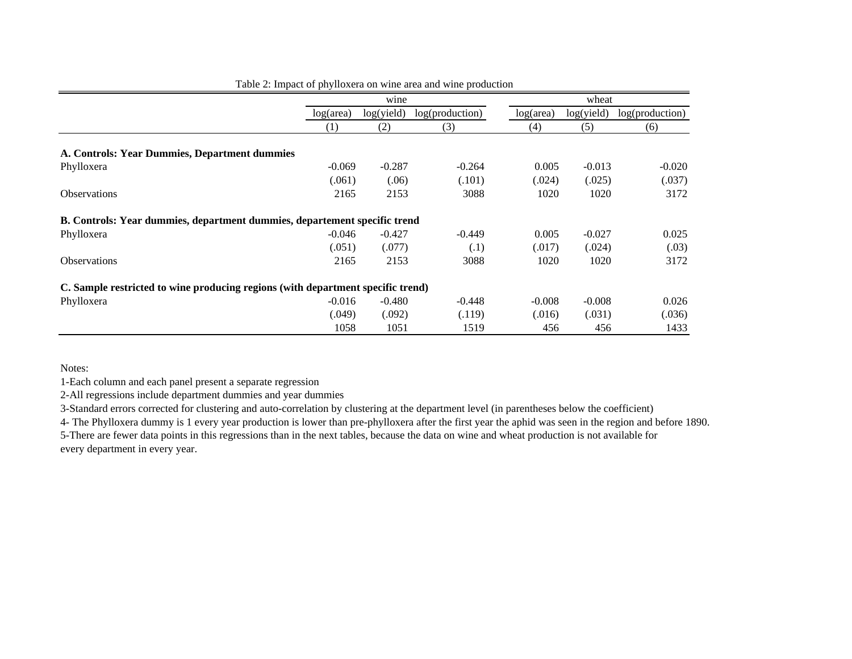|                                                                                 |           | wine       |                 |           | wheat      |                 |  |
|---------------------------------------------------------------------------------|-----------|------------|-----------------|-----------|------------|-----------------|--|
|                                                                                 | log(area) | log(yield) | log(production) | log(area) | log(yield) | log(production) |  |
|                                                                                 | (1)       | (2)        | (3)             | (4)       | (5)        | (6)             |  |
| A. Controls: Year Dummies, Department dummies                                   |           |            |                 |           |            |                 |  |
| Phylloxera                                                                      | $-0.069$  | $-0.287$   | $-0.264$        | 0.005     | $-0.013$   | $-0.020$        |  |
|                                                                                 | (.061)    | (.06)      | (.101)          | (.024)    | (.025)     | (.037)          |  |
| <b>Observations</b>                                                             | 2165      | 2153       | 3088            | 1020      | 1020       | 3172            |  |
| B. Controls: Year dummies, department dummies, departement specific trend       |           |            |                 |           |            |                 |  |
| Phylloxera                                                                      | $-0.046$  | $-0.427$   | $-0.449$        | 0.005     | $-0.027$   | 0.025           |  |
|                                                                                 | (.051)    | (.077)     | (.1)            | (.017)    | (.024)     | (.03)           |  |
| <b>Observations</b>                                                             | 2165      | 2153       | 3088            | 1020      | 1020       | 3172            |  |
| C. Sample restricted to wine producing regions (with department specific trend) |           |            |                 |           |            |                 |  |
| Phylloxera                                                                      | $-0.016$  | $-0.480$   | $-0.448$        | $-0.008$  | $-0.008$   | 0.026           |  |
|                                                                                 | (0.049)   | (.092)     | (.119)          | (.016)    | (.031)     | (.036)          |  |
|                                                                                 | 1058      | 1051       | 1519            | 456       | 456        | 1433            |  |

Table 2: Impact of phylloxera on wine area and wine production

Notes:

1-Each column and each panel present a separate regression

2-All regressions include department dummies and year dummies

3-Standard errors corrected for clustering and auto-correlation by clustering at the department level (in parentheses below the coefficient)

4- The Phylloxera dummy is 1 every year production is lower than pre-phylloxera after the first year the aphid was seen in the region and before 1890. 5-There are fewer data points in this regressions than in the next tables, because the data on wine and wheat production is not available for every department in every year.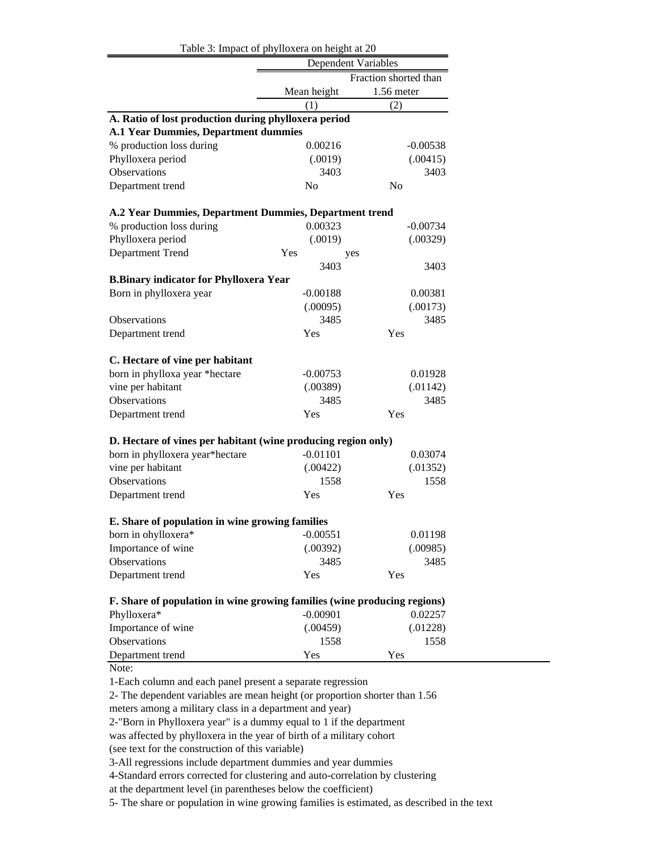|                                                                          | Table 3: Impact of phylloxera on height at 20 |                |  |  |  |
|--------------------------------------------------------------------------|-----------------------------------------------|----------------|--|--|--|
|                                                                          | <b>Dependent Variables</b>                    |                |  |  |  |
|                                                                          | Fraction shorted than                         |                |  |  |  |
|                                                                          | Mean height                                   | 1.56 meter     |  |  |  |
|                                                                          | (1)                                           | (2)            |  |  |  |
| A. Ratio of lost production during phylloxera period                     |                                               |                |  |  |  |
| <b>A.1 Year Dummies, Department dummies</b>                              |                                               |                |  |  |  |
| % production loss during                                                 | 0.00216                                       | $-0.00538$     |  |  |  |
| Phylloxera period                                                        | (.0019)                                       | (.00415)       |  |  |  |
| Observations                                                             | 3403                                          | 3403           |  |  |  |
| Department trend                                                         | N <sub>o</sub>                                | N <sub>0</sub> |  |  |  |
| A.2 Year Dummies, Department Dummies, Department trend                   |                                               |                |  |  |  |
| % production loss during                                                 | 0.00323                                       | $-0.00734$     |  |  |  |
| Phylloxera period                                                        | (.0019)                                       | (.00329)       |  |  |  |
| Department Trend                                                         | Yes<br>yes                                    |                |  |  |  |
|                                                                          | 3403                                          | 3403           |  |  |  |
| <b>B.Binary indicator for Phylloxera Year</b>                            |                                               |                |  |  |  |
| Born in phylloxera year                                                  | $-0.00188$                                    | 0.00381        |  |  |  |
|                                                                          | (.00095)                                      | (.00173)       |  |  |  |
| <b>Observations</b>                                                      | 3485                                          | 3485           |  |  |  |
| Department trend                                                         | Yes                                           | Yes            |  |  |  |
|                                                                          |                                               |                |  |  |  |
| C. Hectare of vine per habitant                                          |                                               |                |  |  |  |
| born in phylloxa year *hectare                                           | $-0.00753$                                    | 0.01928        |  |  |  |
| vine per habitant                                                        | (.00389)                                      | (.01142)       |  |  |  |
| Observations                                                             | 3485                                          | 3485           |  |  |  |
| Department trend                                                         | Yes                                           | Yes            |  |  |  |
| D. Hectare of vines per habitant (wine producing region only)            |                                               |                |  |  |  |
| born in phylloxera year*hectare                                          | $-0.01101$                                    | 0.03074        |  |  |  |
| vine per habitant                                                        | (.00422)                                      | (.01352)       |  |  |  |
| Observations                                                             | 1558                                          | 1558           |  |  |  |
| Department trend                                                         | Yes                                           | Yes            |  |  |  |
| E. Share of population in wine growing families                          |                                               |                |  |  |  |
| born in ohylloxera*                                                      | $-0.00551$                                    | 0.01198        |  |  |  |
| Importance of wine                                                       | (.00392)                                      | (.00985)       |  |  |  |
| Observations                                                             | 3485                                          | 3485           |  |  |  |
| Department trend                                                         | Yes                                           | Yes            |  |  |  |
|                                                                          |                                               |                |  |  |  |
| F. Share of population in wine growing families (wine producing regions) |                                               |                |  |  |  |
| Phylloxera*                                                              | $-0.00901$                                    | 0.02257        |  |  |  |
| Importance of wine                                                       | (.00459)                                      | (.01228)       |  |  |  |
| Observations                                                             | 1558                                          | 1558           |  |  |  |
| Department trend                                                         | Yes                                           | Yes            |  |  |  |

1-Each column and each panel present a separate regression

2- The dependent variables are mean height (or proportion shorter than 1.56

meters among a military class in a department and year)

2-"Born in Phylloxera year" is a dummy equal to 1 if the department

was affected by phylloxera in the year of birth of a military cohort

(see text for the construction of this variable)

3-All regressions include department dummies and year dummies

4-Standard errors corrected for clustering and auto-correlation by clustering

at the department level (in parentheses below the coefficient)

5- The share or population in wine growing families is estimated, as described in the text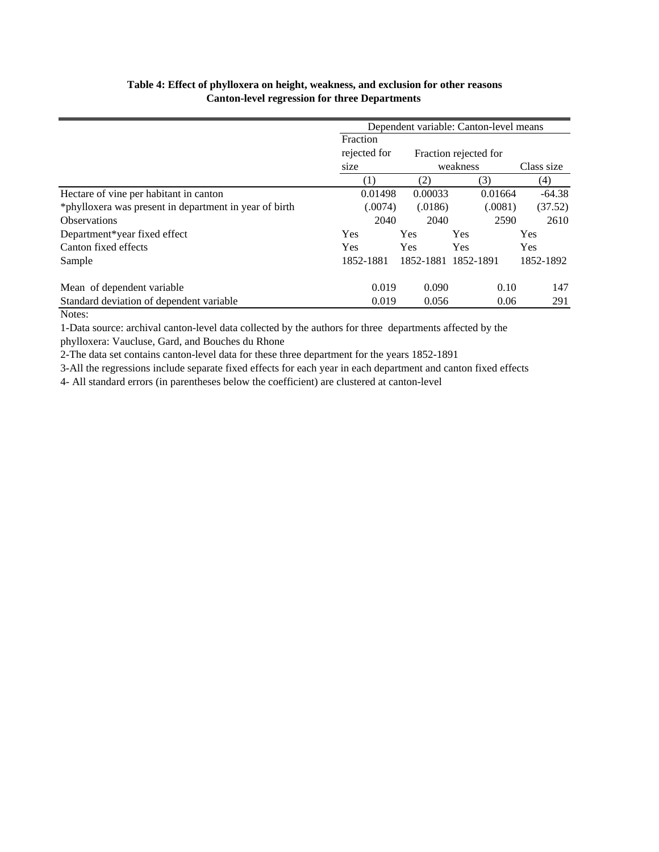## **Table 4: Effect of phylloxera on height, weakness, and exclusion for other reasons Canton-level regression for three Departments**

|                                                        | Dependent variable: Canton-level means |            |                     |            |  |  |  |
|--------------------------------------------------------|----------------------------------------|------------|---------------------|------------|--|--|--|
|                                                        | Fraction                               |            |                     |            |  |  |  |
|                                                        | rejected for                           |            |                     |            |  |  |  |
|                                                        | size                                   |            | weakness            | Class size |  |  |  |
|                                                        | (1)                                    | (2)        | (3)                 | (4)        |  |  |  |
| Hectare of vine per habitant in canton                 | 0.01498                                | 0.00033    | 0.01664             | $-64.38$   |  |  |  |
| *phylloxera was present in department in year of birth | (.0074)                                | (.0186)    | (.0081)             | (37.52)    |  |  |  |
| <b>Observations</b>                                    | 2040                                   | 2040       | 2590                | 2610       |  |  |  |
| Department*year fixed effect                           | Yes                                    | <b>Yes</b> | Yes                 | Yes        |  |  |  |
| Canton fixed effects                                   | <b>Yes</b>                             | <b>Yes</b> | Yes                 | Yes        |  |  |  |
| Sample                                                 | 1852-1881                              |            | 1852-1881 1852-1891 | 1852-1892  |  |  |  |
| Mean of dependent variable                             | 0.019                                  | 0.090      | 0.10                | 147        |  |  |  |
| Standard deviation of dependent variable               | 0.019                                  | 0.056      | 0.06                | 291        |  |  |  |

#### Notes:

1-Data source: archival canton-level data collected by the authors for three departments affected by the

phylloxera: Vaucluse, Gard, and Bouches du Rhone

2-The data set contains canton-level data for these three department for the years 1852-1891

3-All the regressions include separate fixed effects for each year in each department and canton fixed effects

4- All standard errors (in parentheses below the coefficient) are clustered at canton-level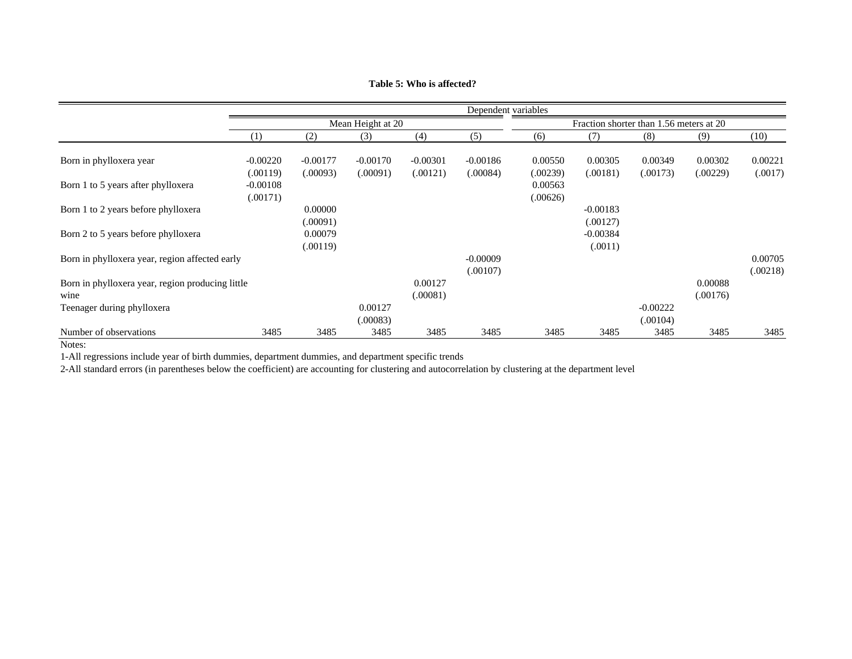|                                                          |                        | Dependent variables    |                        |                        |                        |                                         |                        |                        |                     |                     |
|----------------------------------------------------------|------------------------|------------------------|------------------------|------------------------|------------------------|-----------------------------------------|------------------------|------------------------|---------------------|---------------------|
|                                                          | Mean Height at 20      |                        |                        |                        |                        | Fraction shorter than 1.56 meters at 20 |                        |                        |                     |                     |
|                                                          | (1)                    | (2)                    | (3)                    | (4)                    | (5)                    | (6)                                     | (7)                    | (8)                    | (9)                 | (10)                |
| Born in phylloxera year                                  | $-0.00220$<br>(.00119) | $-0.00177$<br>(.00093) | $-0.00170$<br>(.00091) | $-0.00301$<br>(.00121) | $-0.00186$<br>(.00084) | 0.00550<br>(.00239)                     | 0.00305<br>(.00181)    | 0.00349<br>(.00173)    | 0.00302<br>(.00229) | 0.00221<br>(.0017)  |
| Born 1 to 5 years after phylloxera                       | $-0.00108$<br>(.00171) |                        |                        |                        |                        | 0.00563<br>(.00626)                     |                        |                        |                     |                     |
| Born 1 to 2 years before phylloxera                      |                        | 0.00000<br>(.00091)    |                        |                        |                        |                                         | $-0.00183$<br>(.00127) |                        |                     |                     |
| Born 2 to 5 years before phylloxera                      |                        | 0.00079<br>(.00119)    |                        |                        |                        |                                         | $-0.00384$<br>(.0011)  |                        |                     |                     |
| Born in phylloxera year, region affected early           |                        |                        |                        |                        | $-0.00009$<br>(.00107) |                                         |                        |                        |                     | 0.00705<br>(.00218) |
| Born in phylloxera year, region producing little<br>wine |                        |                        |                        | 0.00127<br>(.00081)    |                        |                                         |                        |                        | 0.00088<br>(.00176) |                     |
| Teenager during phylloxera                               |                        |                        | 0.00127<br>(.00083)    |                        |                        |                                         |                        | $-0.00222$<br>(.00104) |                     |                     |
| Number of observations<br>$\mathbf{v}$                   | 3485                   | 3485                   | 3485                   | 3485                   | 3485                   | 3485                                    | 3485                   | 3485                   | 3485                | 3485                |

**Table 5: Who is affected?**

Notes:

1-All regressions include year of birth dummies, department dummies, and department specific trends

2-All standard errors (in parentheses below the coefficient) are accounting for clustering and autocorrelation by clustering at the department level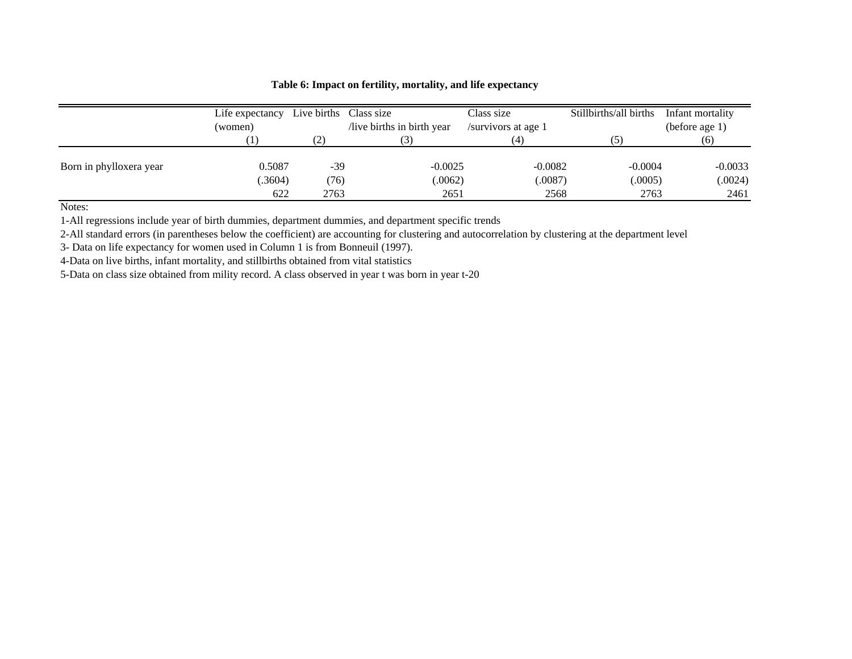|                         | Life expectancy<br>(women) |      | Stillbirths/all births<br>Live births Class size<br>Class size<br>live births in birth year<br>/survivors at age 1 |           | Infant mortality<br>(before age $1$ ) |           |  |
|-------------------------|----------------------------|------|--------------------------------------------------------------------------------------------------------------------|-----------|---------------------------------------|-----------|--|
|                         |                            |      |                                                                                                                    |           | $\left(5\right)$                      |           |  |
| Born in phylloxera year | 0.5087                     | -39  | $-0.0025$                                                                                                          | $-0.0082$ | $-0.0004$                             | $-0.0033$ |  |
|                         | 0.3604)                    | (76) | .0062)                                                                                                             | (.0087)   | (.0005)                               | (.0024)   |  |
|                         | 622                        | 2763 | 2651                                                                                                               | 2568      | 2763                                  | 2461      |  |

#### **Table 6: Impact on fertility, mortality, and life expectancy**

Notes:

1-All regressions include year of birth dummies, department dummies, and department specific trends

2-All standard errors (in parentheses below the coefficient) are accounting for clustering and autocorrelation by clustering at the department level

3- Data on life expectancy for women used in Column 1 is from Bonneuil (1997).

4-Data on live births, infant mortality, and stillbirths obtained from vital statistics

5-Data on class size obtained from mility record. A class observed in year t was born in year t-20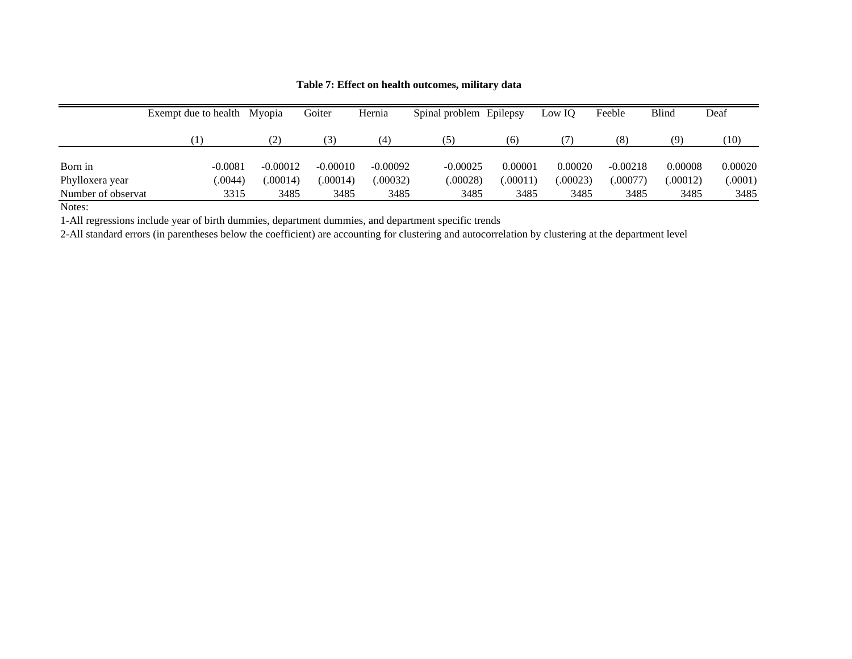|                    | Exempt due to health Myopia |            | Goiter     | Hernia     | Spinal problem Epilepsy |          | Low IQ   | Feeble     | Blind    | Deaf    |
|--------------------|-----------------------------|------------|------------|------------|-------------------------|----------|----------|------------|----------|---------|
|                    |                             | (2)        | 3)         | $^{(4)}$   | (5                      | (6)      |          | (8)        | (9)      | (10)    |
|                    |                             |            |            |            |                         |          |          |            |          |         |
| Born in            | $-0.0081$                   | $-0.00012$ | $-0.00010$ | $-0.00092$ | $-0.00025$              | 0.00001  | 0.00020  | $-0.00218$ | 0.00008  | 0.00020 |
| Phylloxera year    | 0.0044                      | 00014      | .00014)    | 00032      | (.00028)                | (.00011) | (.00023) | .00077)    | (.00012) | (.0001) |
| Number of observat | 3315                        | 3485       | 3485       | 3485       | 3485                    | 3485     | 3485     | 3485       | 3485     | 3485    |

**Table 7: Effect on health outcomes, military data**

Notes:

1-All regressions include year of birth dummies, department dummies, and department specific trends

2-All standard errors (in parentheses below the coefficient) are accounting for clustering and autocorrelation by clustering at the department level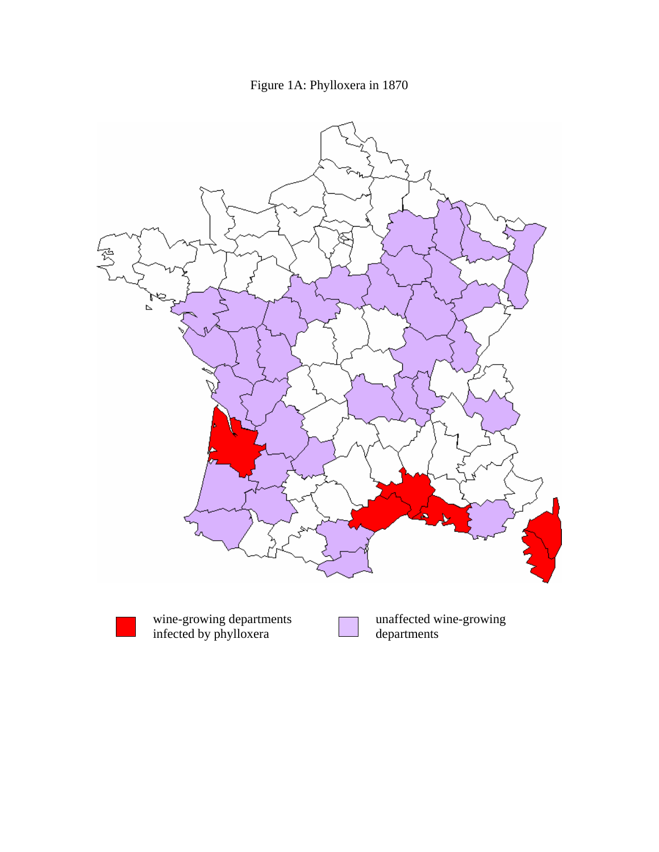Figure 1A: Phylloxera in 1870

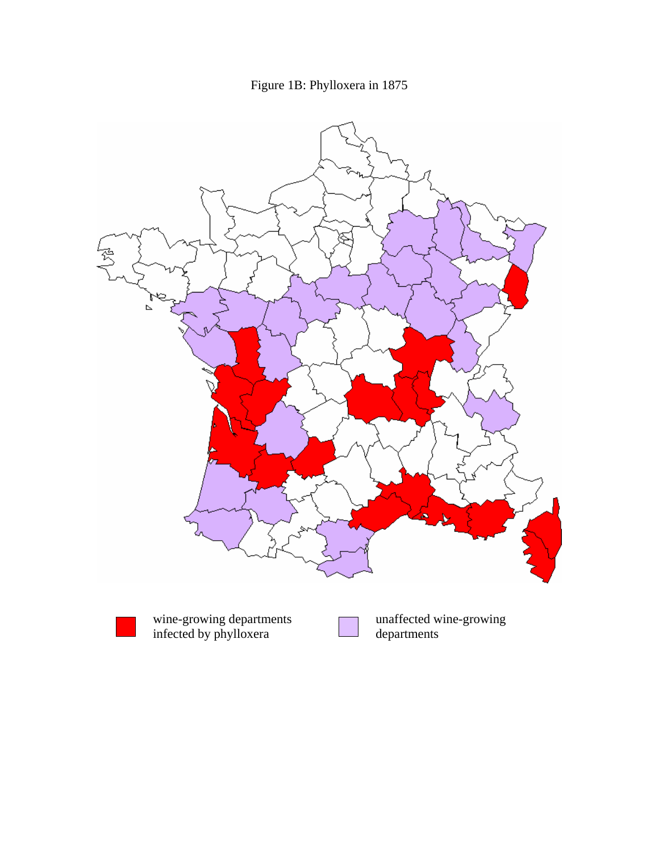





infected by phylloxera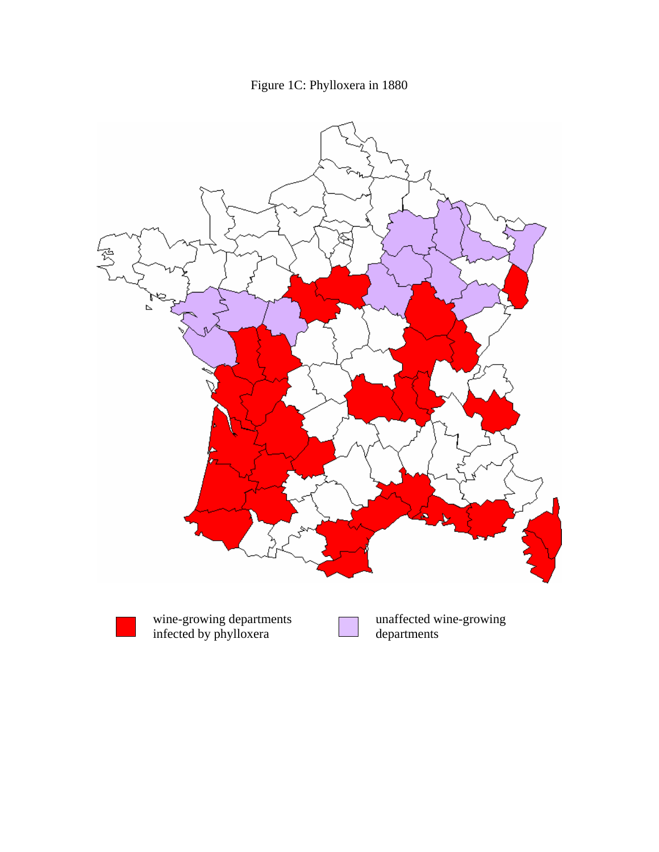

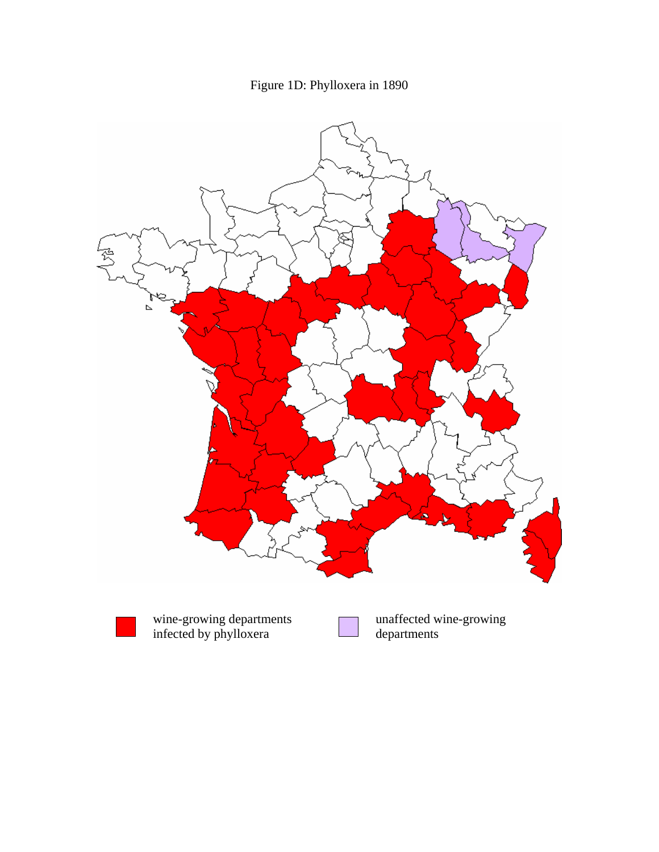

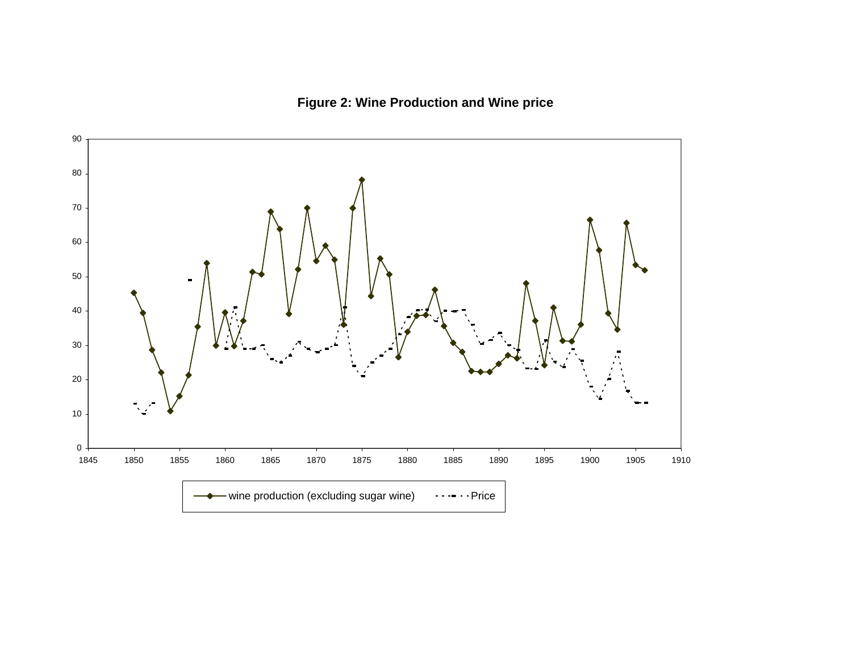# **Figure 2: Wine Production and Wine price**

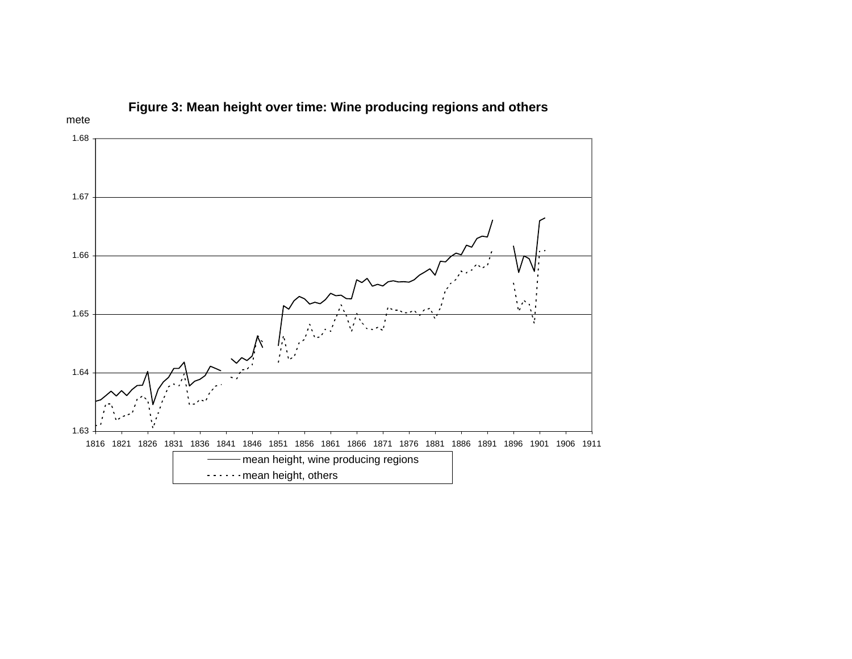

**Figure 3: Mean height over time: Wine producing regions and others**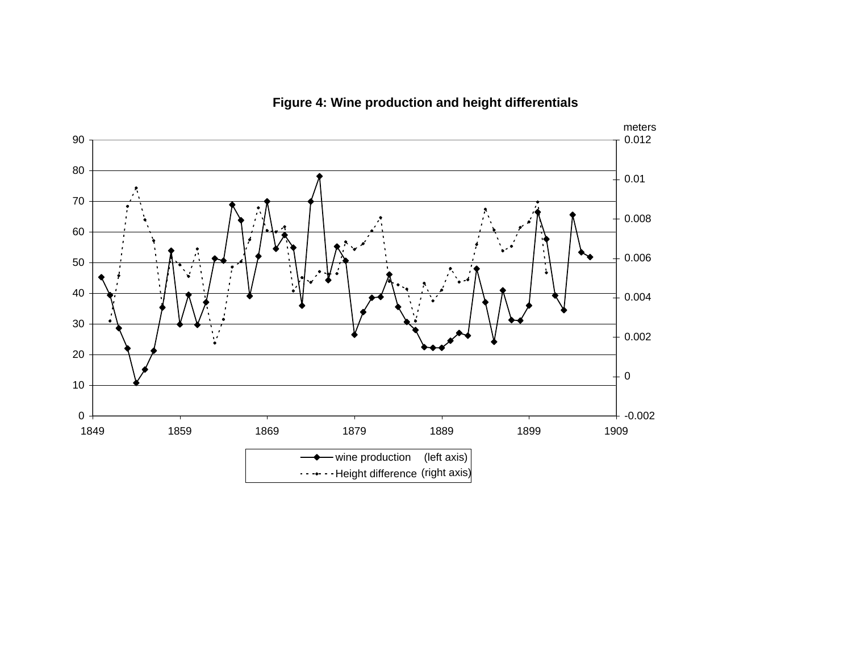

**Figure 4: Wine production and height differentials**